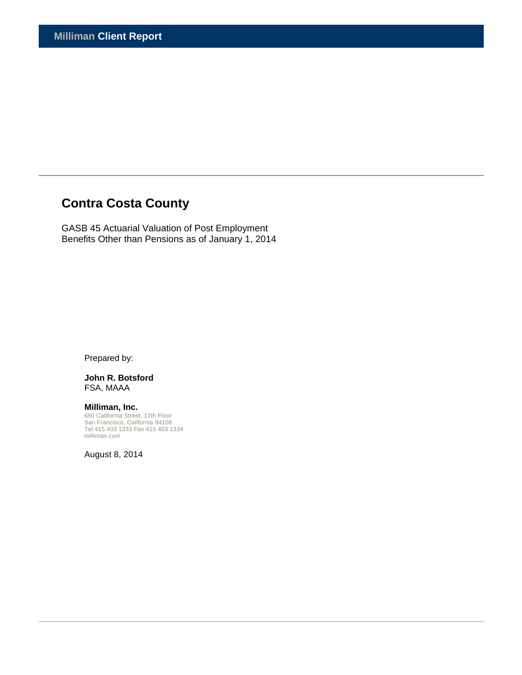# **Contra Costa County**

GASB 45 Actuarial Valuation of Post Employment Benefits Other than Pensions as of January 1, 2014

Prepared by:

**John R. Botsford**  FSA, MAAA

**Milliman, Inc.**  650 California Street, 17th Floor San Francisco, California 94108 Tel 415 403 1333 Fax 415 403 1334 milliman.com

August 8, 2014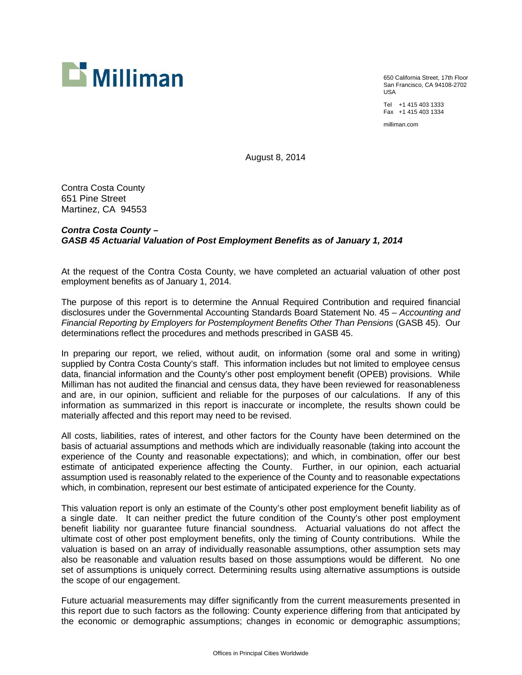

650 California Street, 17th Floor San Francisco, CA 94108-2702 USA

Tel +1 415 403 1333 Fax +1 415 403 1334

milliman.com

August 8, 2014

Contra Costa County 651 Pine Street Martinez, CA 94553

# *Contra Costa County – GASB 45 Actuarial Valuation of Post Employment Benefits as of January 1, 2014*

At the request of the Contra Costa County, we have completed an actuarial valuation of other post employment benefits as of January 1, 2014.

The purpose of this report is to determine the Annual Required Contribution and required financial disclosures under the Governmental Accounting Standards Board Statement No. 45 – *Accounting and Financial Reporting by Employers for Postemployment Benefits Other Than Pensions* (GASB 45). Our determinations reflect the procedures and methods prescribed in GASB 45.

In preparing our report, we relied, without audit, on information (some oral and some in writing) supplied by Contra Costa County's staff. This information includes but not limited to employee census data, financial information and the County's other post employment benefit (OPEB) provisions. While Milliman has not audited the financial and census data, they have been reviewed for reasonableness and are, in our opinion, sufficient and reliable for the purposes of our calculations. If any of this information as summarized in this report is inaccurate or incomplete, the results shown could be materially affected and this report may need to be revised.

All costs, liabilities, rates of interest, and other factors for the County have been determined on the basis of actuarial assumptions and methods which are individually reasonable (taking into account the experience of the County and reasonable expectations); and which, in combination, offer our best estimate of anticipated experience affecting the County. Further, in our opinion, each actuarial assumption used is reasonably related to the experience of the County and to reasonable expectations which, in combination, represent our best estimate of anticipated experience for the County.

This valuation report is only an estimate of the County's other post employment benefit liability as of a single date. It can neither predict the future condition of the County's other post employment benefit liability nor guarantee future financial soundness. Actuarial valuations do not affect the ultimate cost of other post employment benefits, only the timing of County contributions. While the valuation is based on an array of individually reasonable assumptions, other assumption sets may also be reasonable and valuation results based on those assumptions would be different. No one set of assumptions is uniquely correct. Determining results using alternative assumptions is outside the scope of our engagement.

Future actuarial measurements may differ significantly from the current measurements presented in this report due to such factors as the following: County experience differing from that anticipated by the economic or demographic assumptions; changes in economic or demographic assumptions;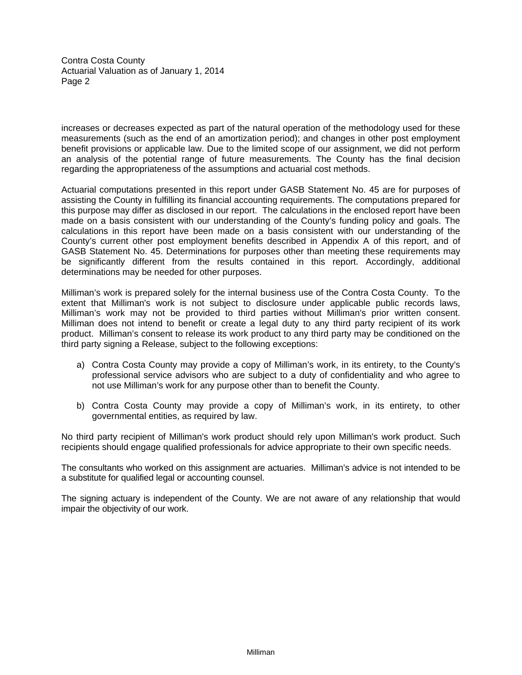Contra Costa County Actuarial Valuation as of January 1, 2014 Page 2

increases or decreases expected as part of the natural operation of the methodology used for these measurements (such as the end of an amortization period); and changes in other post employment benefit provisions or applicable law. Due to the limited scope of our assignment, we did not perform an analysis of the potential range of future measurements. The County has the final decision regarding the appropriateness of the assumptions and actuarial cost methods.

Actuarial computations presented in this report under GASB Statement No. 45 are for purposes of assisting the County in fulfilling its financial accounting requirements. The computations prepared for this purpose may differ as disclosed in our report. The calculations in the enclosed report have been made on a basis consistent with our understanding of the County's funding policy and goals. The calculations in this report have been made on a basis consistent with our understanding of the County's current other post employment benefits described in Appendix A of this report, and of GASB Statement No. 45. Determinations for purposes other than meeting these requirements may be significantly different from the results contained in this report. Accordingly, additional determinations may be needed for other purposes.

Milliman's work is prepared solely for the internal business use of the Contra Costa County. To the extent that Milliman's work is not subject to disclosure under applicable public records laws, Milliman's work may not be provided to third parties without Milliman's prior written consent. Milliman does not intend to benefit or create a legal duty to any third party recipient of its work product. Milliman's consent to release its work product to any third party may be conditioned on the third party signing a Release, subject to the following exceptions:

- a) Contra Costa County may provide a copy of Milliman's work, in its entirety, to the County's professional service advisors who are subject to a duty of confidentiality and who agree to not use Milliman's work for any purpose other than to benefit the County.
- b) Contra Costa County may provide a copy of Milliman's work, in its entirety, to other governmental entities, as required by law.

No third party recipient of Milliman's work product should rely upon Milliman's work product. Such recipients should engage qualified professionals for advice appropriate to their own specific needs.

The consultants who worked on this assignment are actuaries. Milliman's advice is not intended to be a substitute for qualified legal or accounting counsel.

The signing actuary is independent of the County. We are not aware of any relationship that would impair the objectivity of our work.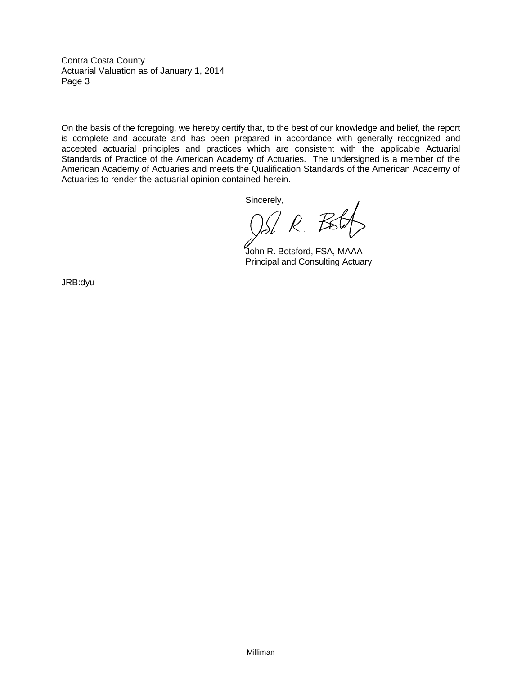Contra Costa County Actuarial Valuation as of January 1, 2014 Page 3

On the basis of the foregoing, we hereby certify that, to the best of our knowledge and belief, the report is complete and accurate and has been prepared in accordance with generally recognized and accepted actuarial principles and practices which are consistent with the applicable Actuarial Standards of Practice of the American Academy of Actuaries. The undersigned is a member of the American Academy of Actuaries and meets the Qualification Standards of the American Academy of Actuaries to render the actuarial opinion contained herein.

Sincerely,

 $R.7$ 

 John R. Botsford, FSA, MAAA Principal and Consulting Actuary

JRB:dyu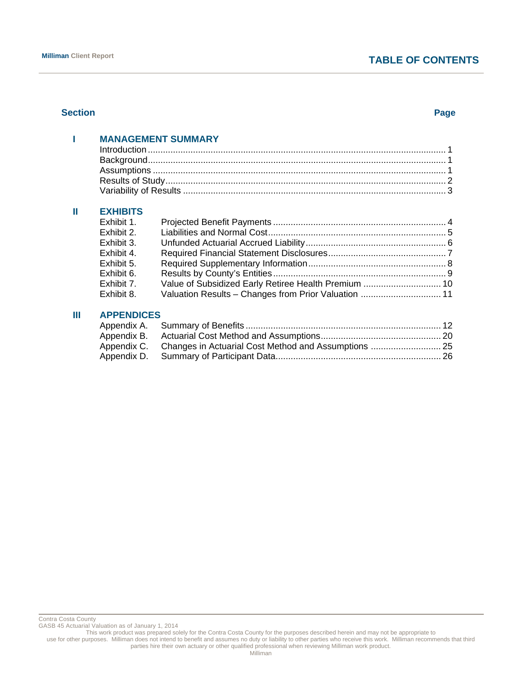# **Milliman Client Report TABLE OF CONTENTS**

# **Section Page**

|      |                   | <b>MANAGEMENT SUMMARY</b>                            |  |
|------|-------------------|------------------------------------------------------|--|
|      |                   |                                                      |  |
|      |                   |                                                      |  |
|      |                   |                                                      |  |
|      |                   |                                                      |  |
|      |                   |                                                      |  |
| Ш    | <b>EXHIBITS</b>   |                                                      |  |
|      | Exhibit 1.        |                                                      |  |
|      | Exhibit 2.        |                                                      |  |
|      | Exhibit 3.        |                                                      |  |
|      | Exhibit 4.        |                                                      |  |
|      | Exhibit 5.        |                                                      |  |
|      | Exhibit 6.        |                                                      |  |
|      | Exhibit 7.        |                                                      |  |
|      | Exhibit 8.        | Valuation Results - Changes from Prior Valuation  11 |  |
| 11 I | <b>ADDENDIACC</b> |                                                      |  |

# **III APPENDICES**

GASB 45 Actuarial Valuation as of January 1, 2014

This work product was prepared solely for the Contra Costa County for the purposes described herein and may not be appropriate to

use for other purposes. Milliman does not intend to benefit and assumes no duty or liability to other parties who receive this work. Milliman recommends that third parties hire their own actuary or other qualified professional when reviewing Milliman work product.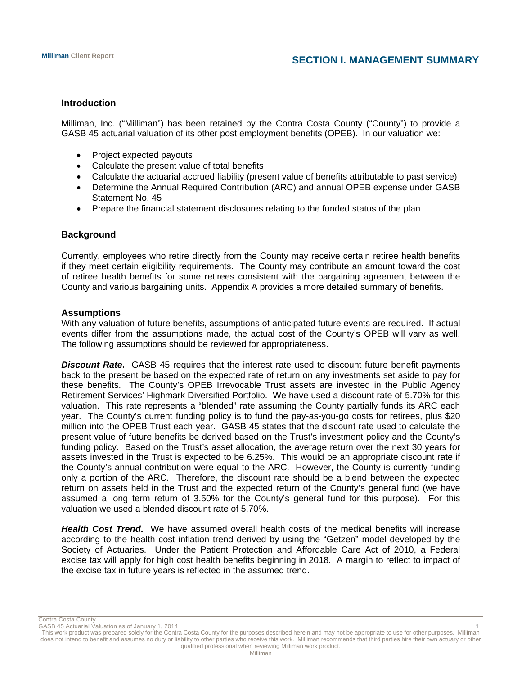# **Introduction**

Milliman, Inc. ("Milliman") has been retained by the Contra Costa County ("County") to provide a GASB 45 actuarial valuation of its other post employment benefits (OPEB). In our valuation we:

- Project expected payouts
- Calculate the present value of total benefits
- Calculate the actuarial accrued liability (present value of benefits attributable to past service)
- Determine the Annual Required Contribution (ARC) and annual OPEB expense under GASB Statement No. 45
- Prepare the financial statement disclosures relating to the funded status of the plan

# **Background**

Currently, employees who retire directly from the County may receive certain retiree health benefits if they meet certain eligibility requirements. The County may contribute an amount toward the cost of retiree health benefits for some retirees consistent with the bargaining agreement between the County and various bargaining units. Appendix A provides a more detailed summary of benefits.

# **Assumptions**

With any valuation of future benefits, assumptions of anticipated future events are required. If actual events differ from the assumptions made, the actual cost of the County's OPEB will vary as well. The following assumptions should be reviewed for appropriateness.

**Discount Rate.** GASB 45 requires that the interest rate used to discount future benefit payments back to the present be based on the expected rate of return on any investments set aside to pay for these benefits. The County's OPEB Irrevocable Trust assets are invested in the Public Agency Retirement Services' Highmark Diversified Portfolio. We have used a discount rate of 5.70% for this valuation. This rate represents a "blended" rate assuming the County partially funds its ARC each year. The County's current funding policy is to fund the pay-as-you-go costs for retirees, plus \$20 million into the OPEB Trust each year. GASB 45 states that the discount rate used to calculate the present value of future benefits be derived based on the Trust's investment policy and the County's funding policy. Based on the Trust's asset allocation, the average return over the next 30 years for assets invested in the Trust is expected to be 6.25%. This would be an appropriate discount rate if the County's annual contribution were equal to the ARC. However, the County is currently funding only a portion of the ARC. Therefore, the discount rate should be a blend between the expected return on assets held in the Trust and the expected return of the County's general fund (we have assumed a long term return of 3.50% for the County's general fund for this purpose). For this valuation we used a blended discount rate of 5.70%.

*Health Cost Trend***.** We have assumed overall health costs of the medical benefits will increase according to the health cost inflation trend derived by using the "Getzen" model developed by the Society of Actuaries. Under the Patient Protection and Affordable Care Act of 2010, a Federal excise tax will apply for high cost health benefits beginning in 2018. A margin to reflect to impact of the excise tax in future years is reflected in the assumed trend.

Contra Costa County

GASB 45 Actuarial Valuation as of January 1, 2014 1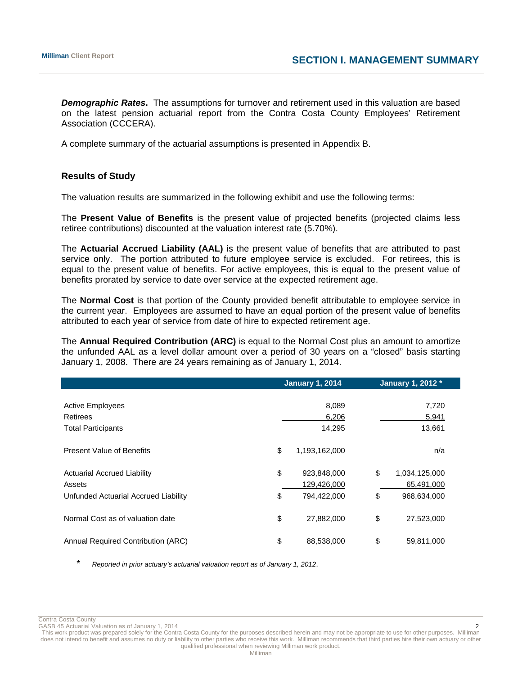*Demographic Rates***.** The assumptions for turnover and retirement used in this valuation are based on the latest pension actuarial report from the Contra Costa County Employees' Retirement Association (CCCERA).

A complete summary of the actuarial assumptions is presented in Appendix B.

# **Results of Study**

The valuation results are summarized in the following exhibit and use the following terms:

The **Present Value of Benefits** is the present value of projected benefits (projected claims less retiree contributions) discounted at the valuation interest rate (5.70%).

The **Actuarial Accrued Liability (AAL)** is the present value of benefits that are attributed to past service only. The portion attributed to future employee service is excluded. For retirees, this is equal to the present value of benefits. For active employees, this is equal to the present value of benefits prorated by service to date over service at the expected retirement age.

The **Normal Cost** is that portion of the County provided benefit attributable to employee service in the current year. Employees are assumed to have an equal portion of the present value of benefits attributed to each year of service from date of hire to expected retirement age.

The **Annual Required Contribution (ARC)** is equal to the Normal Cost plus an amount to amortize the unfunded AAL as a level dollar amount over a period of 30 years on a "closed" basis starting January 1, 2008. There are 24 years remaining as of January 1, 2014.

|                                      | <b>January 1, 2014</b> | January 1, 2012 *   |
|--------------------------------------|------------------------|---------------------|
|                                      |                        |                     |
| <b>Active Employees</b>              | 8,089                  | 7,720               |
| Retirees                             | 6,206                  | 5,941               |
| <b>Total Participants</b>            | 14,295                 | 13,661              |
| <b>Present Value of Benefits</b>     | \$<br>1,193,162,000    | n/a                 |
| <b>Actuarial Accrued Liability</b>   | \$<br>923,848,000      | \$<br>1,034,125,000 |
| Assets                               | 129,426,000            | 65,491,000          |
| Unfunded Actuarial Accrued Liability | \$<br>794,422,000      | \$<br>968,634,000   |
| Normal Cost as of valuation date     | \$<br>27,882,000       | \$<br>27,523,000    |
| Annual Required Contribution (ARC)   | \$<br>88,538,000       | \$<br>59,811,000    |

\* *Reported in prior actuary's actuarial valuation report as of January 1, 2012*.

Contra Costa County

GASB 45 Actuarial Valuation as of January 1, 2014 2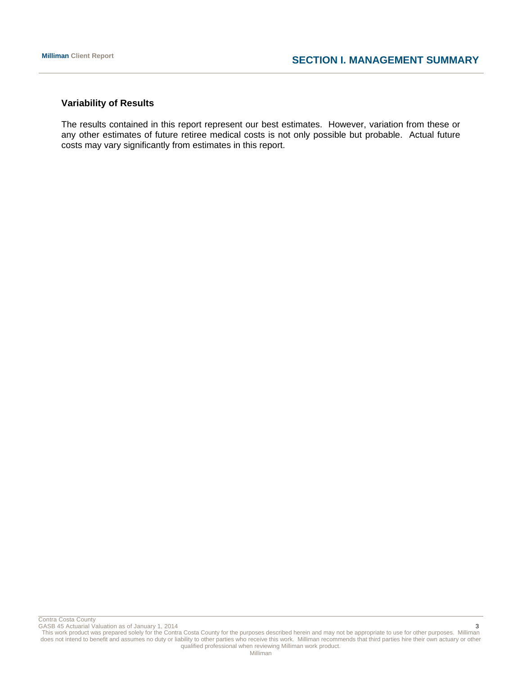# **Variability of Results**

The results contained in this report represent our best estimates. However, variation from these or any other estimates of future retiree medical costs is not only possible but probable. Actual future costs may vary significantly from estimates in this report.

Contra Costa County

GASB 45 Actuarial Valuation as of January 1, 2014 3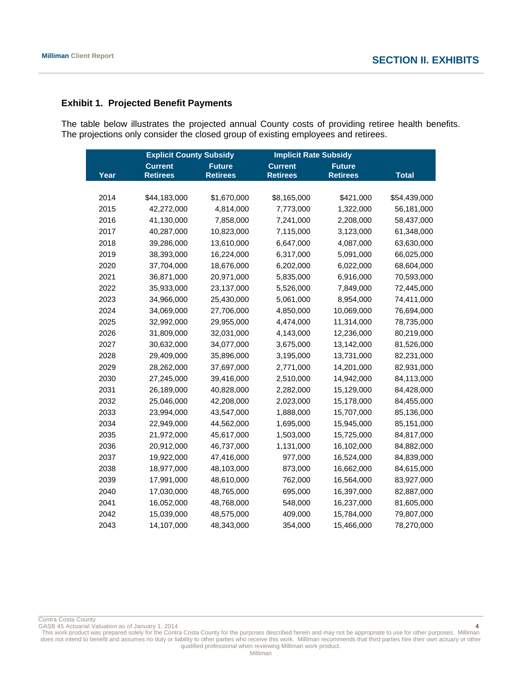# **Exhibit 1. Projected Benefit Payments**

The table below illustrates the projected annual County costs of providing retiree health benefits. The projections only consider the closed group of existing employees and retirees.

|      | <b>Explicit County Subsidy</b> |                 | <b>Implicit Rate Subsidy</b> |                 |              |
|------|--------------------------------|-----------------|------------------------------|-----------------|--------------|
|      | <b>Current</b>                 | <b>Future</b>   | <b>Current</b>               | <b>Future</b>   |              |
| Year | <b>Retirees</b>                | <b>Retirees</b> | <b>Retirees</b>              | <b>Retirees</b> | <b>Total</b> |
|      |                                |                 |                              |                 |              |
| 2014 | \$44,183,000                   | \$1,670,000     | \$8,165,000                  | \$421,000       | \$54,439,000 |
| 2015 | 42,272,000                     | 4,814,000       | 7,773,000                    | 1,322,000       | 56,181,000   |
| 2016 | 41,130,000                     | 7,858,000       | 7,241,000                    | 2,208,000       | 58,437,000   |
| 2017 | 40,287,000                     | 10,823,000      | 7,115,000                    | 3,123,000       | 61,348,000   |
| 2018 | 39,286,000                     | 13,610,000      | 6,647,000                    | 4,087,000       | 63,630,000   |
| 2019 | 38,393,000                     | 16,224,000      | 6,317,000                    | 5,091,000       | 66,025,000   |
| 2020 | 37,704,000                     | 18,676,000      | 6,202,000                    | 6,022,000       | 68,604,000   |
| 2021 | 36,871,000                     | 20,971,000      | 5,835,000                    | 6,916,000       | 70,593,000   |
| 2022 | 35,933,000                     | 23,137,000      | 5,526,000                    | 7,849,000       | 72,445,000   |
| 2023 | 34,966,000                     | 25,430,000      | 5,061,000                    | 8,954,000       | 74,411,000   |
| 2024 | 34,069,000                     | 27,706,000      | 4,850,000                    | 10,069,000      | 76,694,000   |
| 2025 | 32,992,000                     | 29,955,000      | 4,474,000                    | 11,314,000      | 78,735,000   |
| 2026 | 31,809,000                     | 32,031,000      | 4,143,000                    | 12,236,000      | 80,219,000   |
| 2027 | 30,632,000                     | 34,077,000      | 3,675,000                    | 13,142,000      | 81,526,000   |
| 2028 | 29,409,000                     | 35,896,000      | 3,195,000                    | 13,731,000      | 82,231,000   |
| 2029 | 28,262,000                     | 37,697,000      | 2,771,000                    | 14,201,000      | 82,931,000   |
| 2030 | 27,245,000                     | 39,416,000      | 2,510,000                    | 14,942,000      | 84,113,000   |
| 2031 | 26,189,000                     | 40,828,000      | 2,282,000                    | 15,129,000      | 84,428,000   |
| 2032 | 25,046,000                     | 42,208,000      | 2,023,000                    | 15,178,000      | 84,455,000   |
| 2033 | 23,994,000                     | 43,547,000      | 1,888,000                    | 15,707,000      | 85,136,000   |
| 2034 | 22,949,000                     | 44,562,000      | 1,695,000                    | 15,945,000      | 85,151,000   |
| 2035 | 21,972,000                     | 45,617,000      | 1,503,000                    | 15,725,000      | 84,817,000   |
| 2036 | 20,912,000                     | 46,737,000      | 1,131,000                    | 16,102,000      | 84,882,000   |
| 2037 | 19,922,000                     | 47,416,000      | 977,000                      | 16,524,000      | 84,839,000   |
| 2038 | 18,977,000                     | 48,103,000      | 873,000                      | 16,662,000      | 84,615,000   |
| 2039 | 17,991,000                     | 48,610,000      | 762,000                      | 16,564,000      | 83,927,000   |
| 2040 | 17,030,000                     | 48,765,000      | 695,000                      | 16,397,000      | 82,887,000   |
| 2041 | 16,052,000                     | 48,768,000      | 548,000                      | 16,237,000      | 81,605,000   |
| 2042 | 15,039,000                     | 48,575,000      | 409,000                      | 15,784,000      | 79,807,000   |
| 2043 | 14,107,000                     | 48,343,000      | 354,000                      | 15,466,000      | 78,270,000   |

Contra Costa County

GASB 45 Actuarial Valuation as of January 1, 2014 4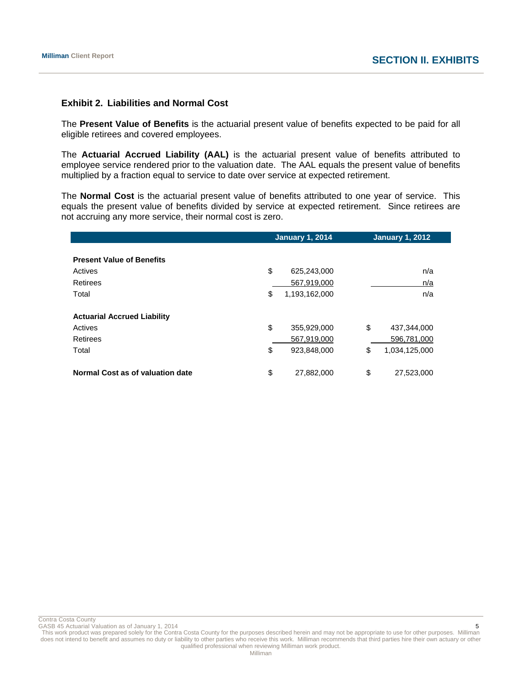# **Exhibit 2. Liabilities and Normal Cost**

The **Present Value of Benefits** is the actuarial present value of benefits expected to be paid for all eligible retirees and covered employees.

The **Actuarial Accrued Liability (AAL)** is the actuarial present value of benefits attributed to employee service rendered prior to the valuation date. The AAL equals the present value of benefits multiplied by a fraction equal to service to date over service at expected retirement.

The **Normal Cost** is the actuarial present value of benefits attributed to one year of service. This equals the present value of benefits divided by service at expected retirement. Since retirees are not accruing any more service, their normal cost is zero.

| <b>January 1, 2014</b> |               |    | <b>January 1, 2012</b> |
|------------------------|---------------|----|------------------------|
|                        |               |    |                        |
|                        |               |    |                        |
| \$                     | 625,243,000   |    | n/a                    |
|                        | 567,919,000   |    | n/a                    |
| \$                     | 1,193,162,000 |    | n/a                    |
|                        |               |    |                        |
|                        |               |    |                        |
| \$                     | 355,929,000   | \$ | 437,344,000            |
|                        | 567,919,000   |    | 596,781,000            |
| \$                     | 923,848,000   | \$ | 1,034,125,000          |
|                        |               |    |                        |
| \$                     | 27,882,000    | \$ | 27,523,000             |
|                        |               |    |                        |

Contra Costa County<br>GASB 45 Actuarial Valuation as of January 1, 2014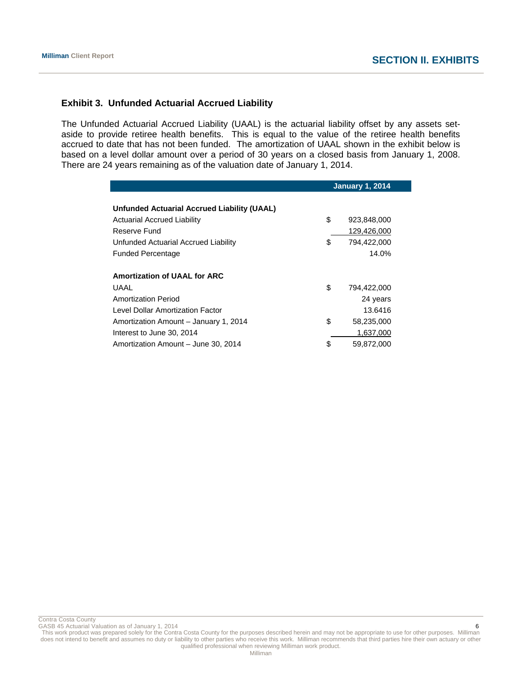**January 1, 2014** 

# **Exhibit 3. Unfunded Actuarial Accrued Liability**

The Unfunded Actuarial Accrued Liability (UAAL) is the actuarial liability offset by any assets setaside to provide retiree health benefits. This is equal to the value of the retiree health benefits accrued to date that has not been funded. The amortization of UAAL shown in the exhibit below is based on a level dollar amount over a period of 30 years on a closed basis from January 1, 2008. There are 24 years remaining as of the valuation date of January 1, 2014.

|                                                    | Jaliualy 1, 2014  |
|----------------------------------------------------|-------------------|
|                                                    |                   |
| <b>Unfunded Actuarial Accrued Liability (UAAL)</b> |                   |
| <b>Actuarial Accrued Liability</b>                 | \$<br>923,848,000 |
| Reserve Fund                                       | 129,426,000       |
| Unfunded Actuarial Accrued Liability               | \$<br>794,422,000 |
| <b>Funded Percentage</b>                           | 14.0%             |
|                                                    |                   |
| <b>Amortization of UAAL for ARC</b>                |                   |
| UAAL                                               | \$<br>794,422,000 |
| Amortization Period                                | 24 years          |
| Level Dollar Amortization Factor                   | 13.6416           |
| Amortization Amount - January 1, 2014              | \$<br>58,235,000  |
| Interest to June 30, 2014                          | 1,637,000         |
| Amortization Amount - June 30, 2014                | \$<br>59,872,000  |

Contra Costa County

GASB 45 Actuarial Valuation as of January 1, 2014 **6 6**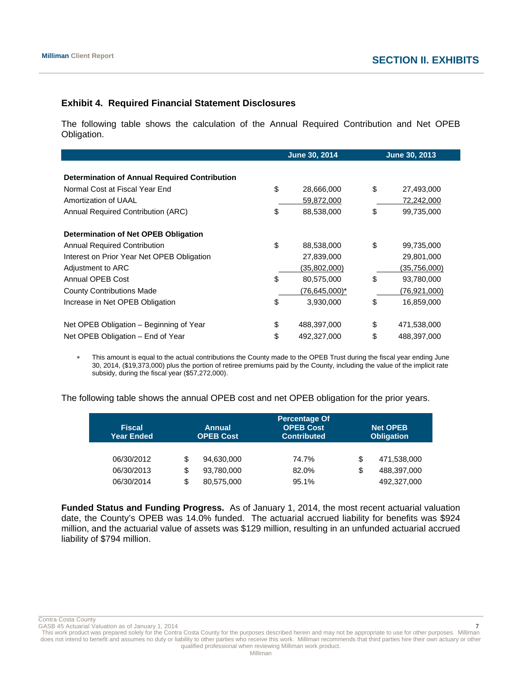# **Exhibit 4. Required Financial Statement Disclosures**

The following table shows the calculation of the Annual Required Contribution and Net OPEB Obligation.

|                                                      | <b>June 30, 2014</b> |    | <b>June 30, 2013</b> |
|------------------------------------------------------|----------------------|----|----------------------|
|                                                      |                      |    |                      |
| <b>Determination of Annual Required Contribution</b> |                      |    |                      |
| Normal Cost at Fiscal Year End                       | \$<br>28,666,000     | \$ | 27,493,000           |
| Amortization of UAAL                                 | 59,872,000           |    | 72,242,000           |
| Annual Required Contribution (ARC)                   | \$<br>88,538,000     | \$ | 99,735,000           |
| Determination of Net OPEB Obligation                 |                      |    |                      |
| <b>Annual Required Contribution</b>                  | \$<br>88,538,000     | \$ | 99,735,000           |
| Interest on Prior Year Net OPEB Obligation           | 27,839,000           |    | 29,801,000           |
| Adjustment to ARC                                    | (35,802,000)         |    | (35,756,000)         |
| Annual OPEB Cost                                     | \$<br>80,575,000     | \$ | 93,780,000           |
| <b>County Contributions Made</b>                     | $(76, 645, 000)^*$   |    | (76, 921, 000)       |
| Increase in Net OPEB Obligation                      | \$<br>3,930,000      | \$ | 16,859,000           |
| Net OPEB Obligation – Beginning of Year              | \$<br>488,397,000    | \$ | 471,538,000          |
| Net OPEB Obligation – End of Year                    | \$<br>492,327,000    | \$ | 488,397,000          |

 This amount is equal to the actual contributions the County made to the OPEB Trust during the fiscal year ending June 30, 2014, (\$19,373,000) plus the portion of retiree premiums paid by the County, including the value of the implicit rate subsidy, during the fiscal year (\$57,272,000).

The following table shows the annual OPEB cost and net OPEB obligation for the prior years.

| <b>Fiscal</b><br><b>Year Ended</b> |    | Annual<br><b>OPEB Cost</b> | Percentage Of<br><b>OPEB Cost</b><br><b>Contributed</b> | <b>Net OPEB</b><br><b>Obligation</b> |  |  |
|------------------------------------|----|----------------------------|---------------------------------------------------------|--------------------------------------|--|--|
| 06/30/2012                         | S  | 94,630,000                 | 74.7%                                                   | \$<br>471,538,000                    |  |  |
| 06/30/2013                         | \$ | 93,780,000                 | 82.0%                                                   | \$<br>488,397,000                    |  |  |
| 06/30/2014                         | \$ | 80,575,000                 | 95.1%                                                   | 492,327,000                          |  |  |

**Funded Status and Funding Progress.** As of January 1, 2014, the most recent actuarial valuation date, the County's OPEB was 14.0% funded. The actuarial accrued liability for benefits was \$924 million, and the actuarial value of assets was \$129 million, resulting in an unfunded actuarial accrued liability of \$794 million.

Contra Costa County<br>GASB 45 Actuarial Valuation as of January 1, 2014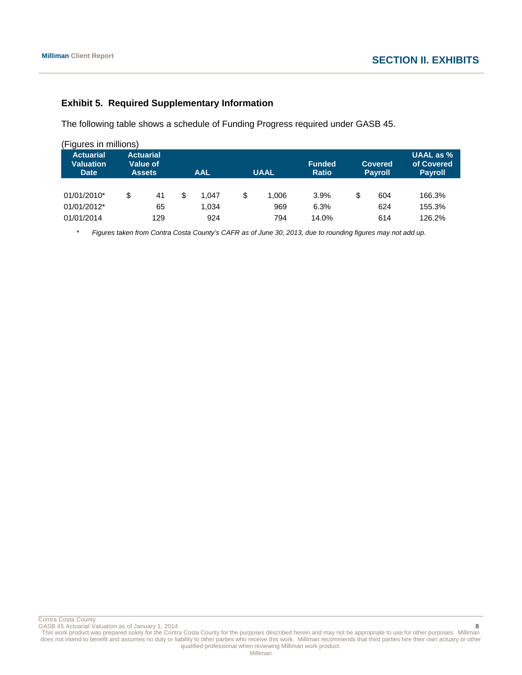# **Exhibit 5. Required Supplementary Information**

The following table shows a schedule of Funding Progress required under GASB 45.

| (Figures in millions)                               |    |                                                      |            |       |             |       |                               |                                  |     |                                           |  |
|-----------------------------------------------------|----|------------------------------------------------------|------------|-------|-------------|-------|-------------------------------|----------------------------------|-----|-------------------------------------------|--|
| <b>Actuarial</b><br><b>Valuation</b><br><b>Date</b> |    | <b>Actuarial</b><br><b>Value of</b><br><b>Assets</b> | <b>AAL</b> |       | <b>UAAL</b> |       | <b>Funded</b><br><b>Ratio</b> | <b>Covered</b><br><b>Payroll</b> |     | UAAL as %<br>of Covered<br><b>Payroll</b> |  |
| 01/01/2010*                                         | \$ | 41                                                   |            | 1.047 | S           | 1.006 | $3.9\%$                       | \$                               | 604 | 166.3%                                    |  |
| 01/01/2012*                                         |    | 65                                                   |            | 1.034 |             | 969   | 6.3%                          |                                  | 624 | 155.3%                                    |  |
| 01/01/2014                                          |    | 129                                                  |            | 924   |             | 794   | 14.0%                         |                                  | 614 | 126.2%                                    |  |

\* *Figures taken from Contra Costa County's CAFR as of June 30, 2013, due to rounding figures may not add up.*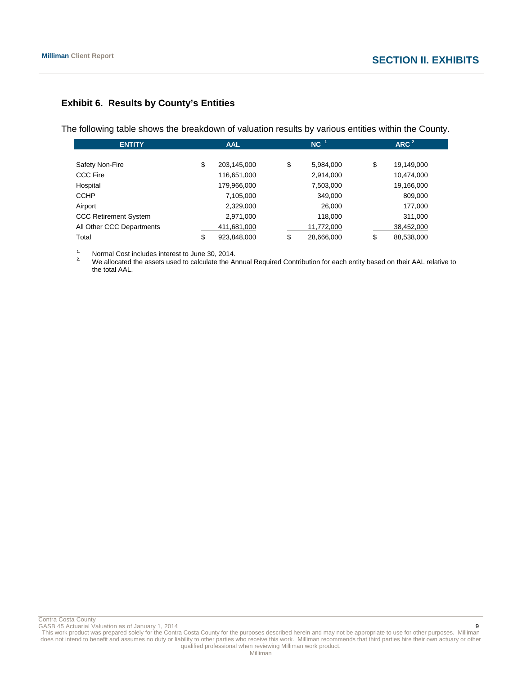# **Exhibit 6. Results by County's Entities**

The following table shows the breakdown of valuation results by various entities within the County.

| <b>ENTITY</b>                |    | <b>AAL</b>  |  |    | $NC-1$     | ARC <sup>2</sup> |  |  |
|------------------------------|----|-------------|--|----|------------|------------------|--|--|
|                              |    |             |  |    |            |                  |  |  |
| Safety Non-Fire              | \$ | 203,145,000 |  | \$ | 5,984,000  | \$<br>19,149,000 |  |  |
| <b>CCC Fire</b>              |    | 116,651,000 |  |    | 2,914,000  | 10,474,000       |  |  |
| Hospital                     |    | 179,966,000 |  |    | 7,503,000  | 19,166,000       |  |  |
| <b>CCHP</b>                  |    | 7,105,000   |  |    | 349,000    | 809,000          |  |  |
| Airport                      |    | 2,329,000   |  |    | 26,000     | 177,000          |  |  |
| <b>CCC Retirement System</b> |    | 2,971,000   |  |    | 118,000    | 311,000          |  |  |
| All Other CCC Departments    |    | 411,681,000 |  |    | 11,772,000 | 38,452,000       |  |  |
| Total                        | \$ | 923,848,000 |  | \$ | 28,666,000 | \$<br>88,538,000 |  |  |

<sup>1.</sup> Normal Cost includes interest to June 30, 2014.

2. We allocated the assets used to calculate the Annual Required Contribution for each entity based on their AAL relative to the total AAL.

Contra Costa County

GASB 45 Actuarial Valuation as of January 1, 2014 9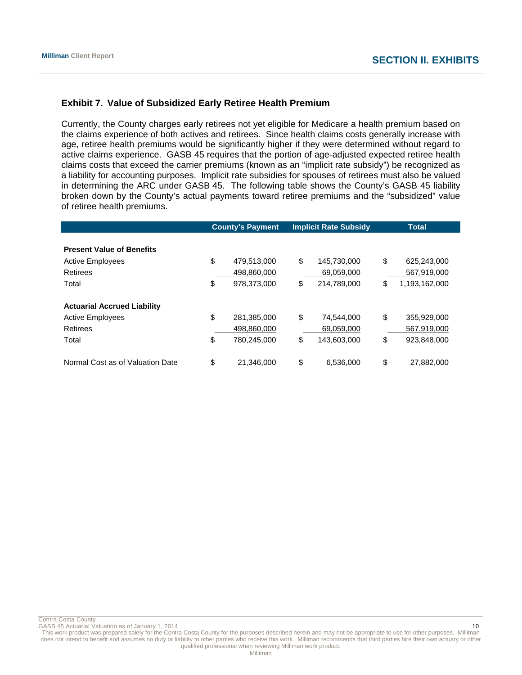# **Exhibit 7. Value of Subsidized Early Retiree Health Premium**

Currently, the County charges early retirees not yet eligible for Medicare a health premium based on the claims experience of both actives and retirees. Since health claims costs generally increase with age, retiree health premiums would be significantly higher if they were determined without regard to active claims experience. GASB 45 requires that the portion of age-adjusted expected retiree health claims costs that exceed the carrier premiums (known as an "implicit rate subsidy") be recognized as a liability for accounting purposes. Implicit rate subsidies for spouses of retirees must also be valued in determining the ARC under GASB 45. The following table shows the County's GASB 45 liability broken down by the County's actual payments toward retiree premiums and the "subsidized" value of retiree health premiums.

|                                    | <b>County's Payment</b> |             | <b>Implicit Rate Subsidy</b> |             | <b>Total</b> |               |
|------------------------------------|-------------------------|-------------|------------------------------|-------------|--------------|---------------|
|                                    |                         |             |                              |             |              |               |
| <b>Present Value of Benefits</b>   |                         |             |                              |             |              |               |
| <b>Active Employees</b>            | \$                      | 479,513,000 | \$                           | 145,730,000 | \$           | 625,243,000   |
| Retirees                           |                         | 498,860,000 |                              | 69,059,000  |              | 567,919,000   |
| Total                              | \$                      | 978,373,000 | \$                           | 214,789,000 | \$           | 1,193,162,000 |
|                                    |                         |             |                              |             |              |               |
| <b>Actuarial Accrued Liability</b> |                         |             |                              |             |              |               |
| <b>Active Employees</b>            | \$                      | 281,385,000 | \$                           | 74,544,000  | \$           | 355,929,000   |
| Retirees                           |                         | 498,860,000 |                              | 69,059,000  |              | 567,919,000   |
| Total                              | \$                      | 780,245,000 | \$                           | 143,603,000 | \$           | 923,848,000   |
|                                    |                         |             |                              |             |              |               |
| Normal Cost as of Valuation Date   | \$                      | 21.346.000  | \$                           | 6,536,000   | \$           | 27,882,000    |

Contra Costa County

GASB 45 Actuarial Valuation as of January 1, 2014 10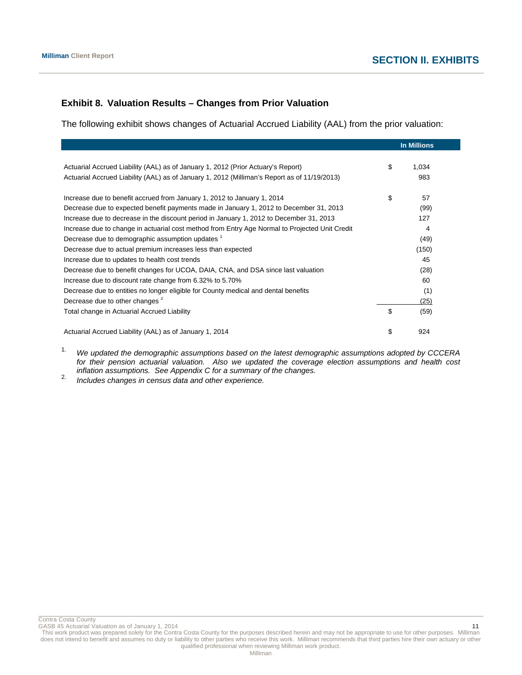# **Exhibit 8. Valuation Results – Changes from Prior Valuation**

The following exhibit shows changes of Actuarial Accrued Liability (AAL) from the prior valuation:

|                                                                                                | <b>In Millions</b> |
|------------------------------------------------------------------------------------------------|--------------------|
|                                                                                                |                    |
| Actuarial Accrued Liability (AAL) as of January 1, 2012 (Prior Actuary's Report)               | \$<br>1,034        |
| Actuarial Accrued Liability (AAL) as of January 1, 2012 (Milliman's Report as of 11/19/2013)   | 983                |
| Increase due to benefit accrued from January 1, 2012 to January 1, 2014                        | \$<br>57           |
| Decrease due to expected benefit payments made in January 1, 2012 to December 31, 2013         | (99)               |
| Increase due to decrease in the discount period in January 1, 2012 to December 31, 2013        | 127                |
| Increase due to change in actuarial cost method from Entry Age Normal to Projected Unit Credit | 4                  |
| Decrease due to demographic assumption updates <sup>1</sup>                                    | (49)               |
| Decrease due to actual premium increases less than expected                                    | (150)              |
| Increase due to updates to health cost trends                                                  | 45                 |
| Decrease due to benefit changes for UCOA, DAIA, CNA, and DSA since last valuation              | (28)               |
| Increase due to discount rate change from 6.32% to 5.70%                                       | 60                 |
| Decrease due to entities no longer eligible for County medical and dental benefits             | (1)                |
| Decrease due to other changes <sup>2</sup>                                                     | (25)               |
| Total change in Actuarial Accrued Liability                                                    | \$<br>(59)         |
| Actuarial Accrued Liability (AAL) as of January 1, 2014                                        | \$<br>924          |

1. *We updated the demographic assumptions based on the latest demographic assumptions adopted by CCCERA for their pension actuarial valuation. Also we updated the coverage election assumptions and health cost inflation assumptions. See Appendix C for a summary of the changes.* 2. *Includes changes in census data and other experience.*

Contra Costa County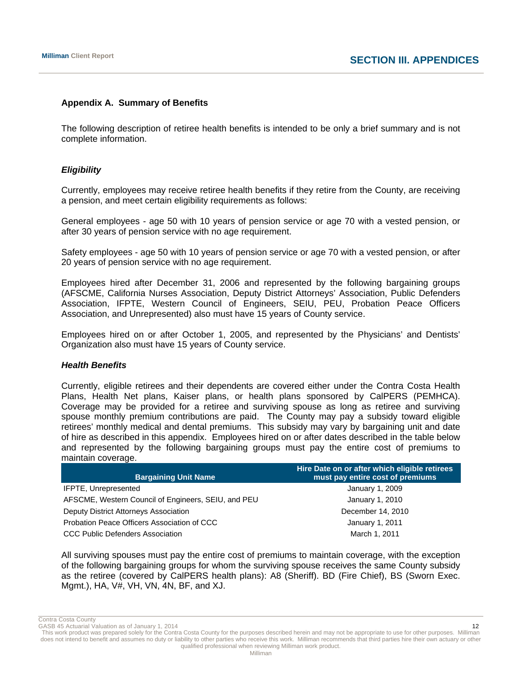# **Appendix A. Summary of Benefits**

The following description of retiree health benefits is intended to be only a brief summary and is not complete information.

# *Eligibility*

Currently, employees may receive retiree health benefits if they retire from the County, are receiving a pension, and meet certain eligibility requirements as follows:

General employees - age 50 with 10 years of pension service or age 70 with a vested pension, or after 30 years of pension service with no age requirement.

Safety employees - age 50 with 10 years of pension service or age 70 with a vested pension, or after 20 years of pension service with no age requirement.

Employees hired after December 31, 2006 and represented by the following bargaining groups (AFSCME, California Nurses Association, Deputy District Attorneys' Association, Public Defenders Association, IFPTE, Western Council of Engineers, SEIU, PEU, Probation Peace Officers Association, and Unrepresented) also must have 15 years of County service.

Employees hired on or after October 1, 2005, and represented by the Physicians' and Dentists' Organization also must have 15 years of County service.

# *Health Benefits*

Currently, eligible retirees and their dependents are covered either under the Contra Costa Health Plans, Health Net plans, Kaiser plans, or health plans sponsored by CalPERS (PEMHCA). Coverage may be provided for a retiree and surviving spouse as long as retiree and surviving spouse monthly premium contributions are paid. The County may pay a subsidy toward eligible retirees' monthly medical and dental premiums. This subsidy may vary by bargaining unit and date of hire as described in this appendix. Employees hired on or after dates described in the table below and represented by the following bargaining groups must pay the entire cost of premiums to maintain coverage.

| <b>Bargaining Unit Name</b>                         | Hire Date on or after which eligible retirees<br>must pay entire cost of premiums |
|-----------------------------------------------------|-----------------------------------------------------------------------------------|
| IFPTE, Unrepresented                                | January 1, 2009                                                                   |
| AFSCME, Western Council of Engineers, SEIU, and PEU | January 1, 2010                                                                   |
| Deputy District Attorneys Association               | December 14, 2010                                                                 |
| Probation Peace Officers Association of CCC         | January 1, 2011                                                                   |
| <b>CCC Public Defenders Association</b>             | March 1, 2011                                                                     |

All surviving spouses must pay the entire cost of premiums to maintain coverage, with the exception of the following bargaining groups for whom the surviving spouse receives the same County subsidy as the retiree (covered by CalPERS health plans): A8 (Sheriff). BD (Fire Chief), BS (Sworn Exec. Mgmt.), HA, V#, VH, VN, 4N, BF, and XJ.

Contra Costa County GASB 45 Actuarial Valuation as of January 1, 2014 12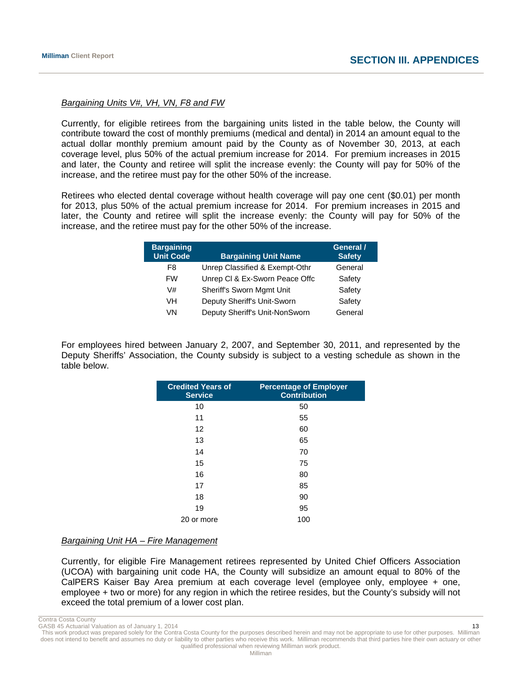# *Bargaining Units V#, VH, VN, F8 and FW*

Currently, for eligible retirees from the bargaining units listed in the table below, the County will contribute toward the cost of monthly premiums (medical and dental) in 2014 an amount equal to the actual dollar monthly premium amount paid by the County as of November 30, 2013, at each coverage level, plus 50% of the actual premium increase for 2014. For premium increases in 2015 and later, the County and retiree will split the increase evenly: the County will pay for 50% of the increase, and the retiree must pay for the other 50% of the increase.

Retirees who elected dental coverage without health coverage will pay one cent (\$0.01) per month for 2013, plus 50% of the actual premium increase for 2014. For premium increases in 2015 and later, the County and retiree will split the increase evenly: the County will pay for 50% of the increase, and the retiree must pay for the other 50% of the increase.

| <b>Bargaining</b><br><b>Unit Code</b> | <b>Bargaining Unit Name</b>    | General /<br><b>Safety</b> |
|---------------------------------------|--------------------------------|----------------------------|
| F8                                    | Unrep Classified & Exempt-Othr | General                    |
| <b>FW</b>                             | Unrep CI & Ex-Sworn Peace Offc | Safety                     |
| V#                                    | Sheriff's Sworn Mgmt Unit      | Safety                     |
| VH                                    | Deputy Sheriff's Unit-Sworn    | Safety                     |
| VN                                    | Deputy Sheriff's Unit-NonSworn | General                    |

For employees hired between January 2, 2007, and September 30, 2011, and represented by the Deputy Sheriffs' Association, the County subsidy is subject to a vesting schedule as shown in the table below.

| <b>Credited Years of</b><br><b>Service</b> | <b>Percentage of Employer</b><br><b>Contribution</b> |
|--------------------------------------------|------------------------------------------------------|
| 10                                         | 50                                                   |
| 11                                         | 55                                                   |
| 12                                         | 60                                                   |
| 13                                         | 65                                                   |
| 14                                         | 70                                                   |
| 15                                         | 75                                                   |
| 16                                         | 80                                                   |
| 17                                         | 85                                                   |
| 18                                         | 90                                                   |
| 19                                         | 95                                                   |
| 20 or more                                 | 100                                                  |

# *Bargaining Unit HA – Fire Management*

Currently, for eligible Fire Management retirees represented by United Chief Officers Association (UCOA) with bargaining unit code HA, the County will subsidize an amount equal to 80% of the CalPERS Kaiser Bay Area premium at each coverage level (employee only, employee + one, employee + two or more) for any region in which the retiree resides, but the County's subsidy will not exceed the total premium of a lower cost plan.

Contra Costa County

GASB 45 Actuarial Valuation as of January 1, 2014

This work product was prepared solely for the Contra Costa County for the purposes described herein and may not be appropriate to use for other purposes. Milliman does not intend to benefit and assumes no duty or liability to other parties who receive this work. Milliman recommends that third parties hire their own actuary or other qualified professional when reviewing Milliman work product.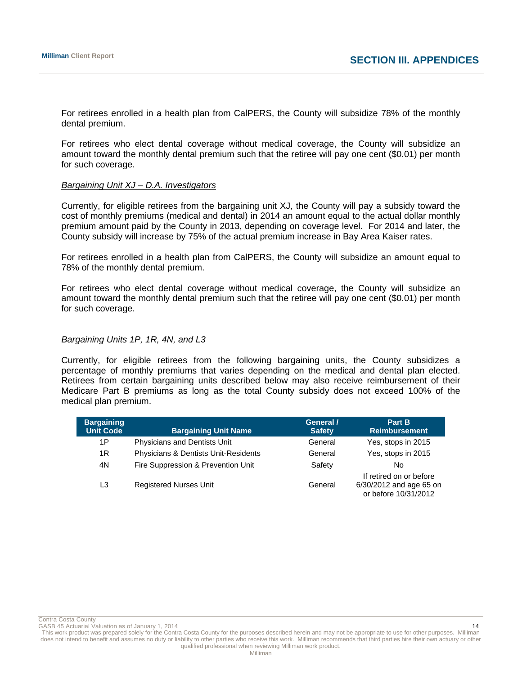For retirees enrolled in a health plan from CalPERS, the County will subsidize 78% of the monthly dental premium.

For retirees who elect dental coverage without medical coverage, the County will subsidize an amount toward the monthly dental premium such that the retiree will pay one cent (\$0.01) per month for such coverage.

#### *Bargaining Unit XJ – D.A. Investigators*

Currently, for eligible retirees from the bargaining unit XJ, the County will pay a subsidy toward the cost of monthly premiums (medical and dental) in 2014 an amount equal to the actual dollar monthly premium amount paid by the County in 2013, depending on coverage level. For 2014 and later, the County subsidy will increase by 75% of the actual premium increase in Bay Area Kaiser rates.

For retirees enrolled in a health plan from CalPERS, the County will subsidize an amount equal to 78% of the monthly dental premium.

For retirees who elect dental coverage without medical coverage, the County will subsidize an amount toward the monthly dental premium such that the retiree will pay one cent (\$0.01) per month for such coverage.

#### *Bargaining Units 1P, 1R, 4N, and L3*

Currently, for eligible retirees from the following bargaining units, the County subsidizes a percentage of monthly premiums that varies depending on the medical and dental plan elected. Retirees from certain bargaining units described below may also receive reimbursement of their Medicare Part B premiums as long as the total County subsidy does not exceed 100% of the medical plan premium.

| <b>Bargaining</b><br><b>Unit Code</b> | <b>Bargaining Unit Name</b>          | General /<br><b>Safety</b> | Part B<br><b>Reimbursement</b>                                             |
|---------------------------------------|--------------------------------------|----------------------------|----------------------------------------------------------------------------|
| 1P                                    | Physicians and Dentists Unit         | General                    | Yes, stops in 2015                                                         |
| 1R                                    | Physicians & Dentists Unit-Residents | General                    | Yes, stops in 2015                                                         |
| 4N                                    | Fire Suppression & Prevention Unit   | Safety                     | No                                                                         |
| L <sub>3</sub>                        | <b>Registered Nurses Unit</b>        | General                    | If retired on or before<br>6/30/2012 and age 65 on<br>or before 10/31/2012 |

Contra Costa County

GASB 45 Actuarial Valuation as of January 1, 2014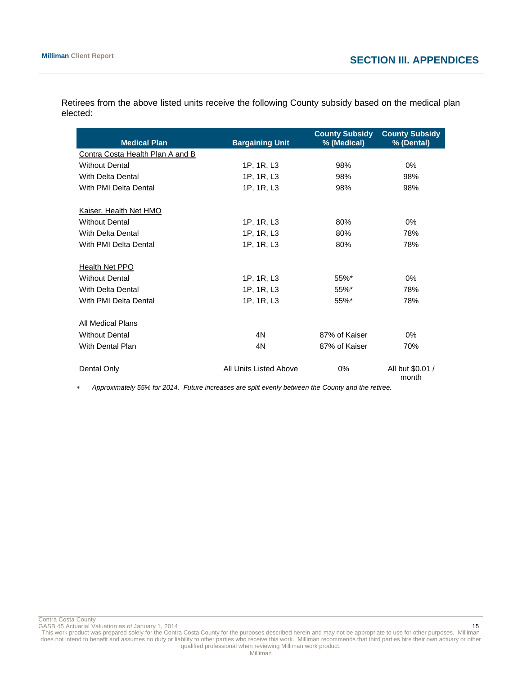| <b>Medical Plan</b>              | <b>Bargaining Unit</b> | <b>County Subsidy</b><br>% (Medical) | <b>County Subsidy</b><br>% (Dental) |
|----------------------------------|------------------------|--------------------------------------|-------------------------------------|
| Contra Costa Health Plan A and B |                        |                                      |                                     |
| <b>Without Dental</b>            | 1P, 1R, L3             | 98%                                  | 0%                                  |
| With Delta Dental                | 1P, 1R, L3             | 98%                                  | 98%                                 |
| With PMI Delta Dental            | 1P, 1R, L3             | 98%                                  | 98%                                 |
| Kaiser, Health Net HMO           |                        |                                      |                                     |
| <b>Without Dental</b>            | 1P, 1R, L3             | 80%                                  | $0\%$                               |
| With Delta Dental                | 1P, 1R, L3             | 80%                                  | 78%                                 |
| With PMI Delta Dental            | 1P, 1R, L3             | 80%                                  | 78%                                 |
| Health Net PPO                   |                        |                                      |                                     |
| <b>Without Dental</b>            | 1P, 1R, L3             | $55\%$ *                             | $0\%$                               |
| With Delta Dental                | 1P, 1R, L3             | 55%*                                 | 78%                                 |
| With PMI Delta Dental            | 1P, 1R, L3             | 55%*                                 | 78%                                 |
| All Medical Plans                |                        |                                      |                                     |
| <b>Without Dental</b>            | 4N                     | 87% of Kaiser                        | $0\%$                               |
| With Dental Plan                 | 4N                     | 87% of Kaiser                        | 70%                                 |
| Dental Only                      | All Units Listed Above | 0%                                   | All but \$0.01 /<br>month           |

Retirees from the above listed units receive the following County subsidy based on the medical plan elected:

*Approximately 55% for 2014. Future increases are split evenly between the County and the retiree.* 

Contra Costa County

GASB 45 Actuarial Valuation as of January 1, 2014 15 and 2014 15 and 2015 16 and 2015 16 and 2015 16 and 2015 15 and 2015 16 and 2015 16 and 2015 16 and 2015 16 and 2015 16 and 2015 16 and 2015 16 and 2015 16 and 2015 16 a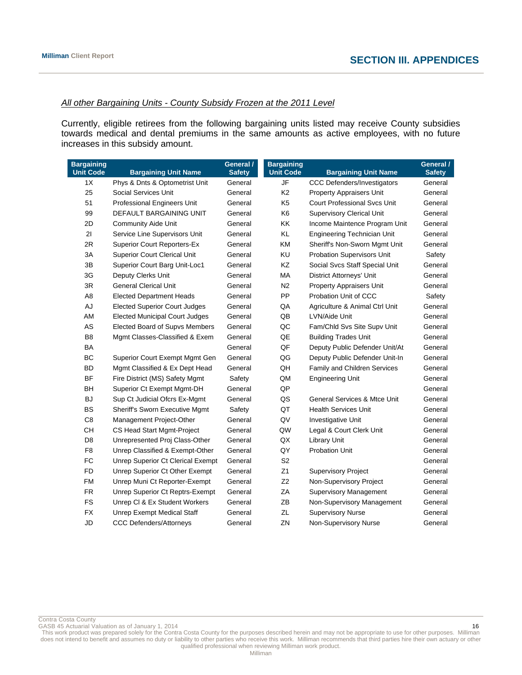# *All other Bargaining Units - County Subsidy Frozen at the 2011 Level*

Currently, eligible retirees from the following bargaining units listed may receive County subsidies towards medical and dental premiums in the same amounts as active employees, with no future increases in this subsidy amount.

| <b>Bargaining</b><br><b>Unit Code</b> | <b>Bargaining Unit Name</b>           | General /<br><b>Safety</b> | <b>Bargaining</b><br><b>Unit Code</b> | <b>Bargaining Unit Name</b>             | General /<br><b>Safety</b> |
|---------------------------------------|---------------------------------------|----------------------------|---------------------------------------|-----------------------------------------|----------------------------|
| 1X                                    | Phys & Dnts & Optometrist Unit        | General                    | JF                                    | <b>CCC Defenders/Investigators</b>      | General                    |
| 25                                    | <b>Social Services Unit</b>           | General                    | K <sub>2</sub>                        | Property Appraisers Unit                | General                    |
| 51                                    | Professional Engineers Unit           | General                    | K <sub>5</sub>                        | <b>Court Professional Svcs Unit</b>     | General                    |
| 99                                    | DEFAULT BARGAINING UNIT               | General                    | K <sub>6</sub>                        | <b>Supervisory Clerical Unit</b>        | General                    |
| 2D                                    | <b>Community Aide Unit</b>            | General                    | KK                                    | Income Maintence Program Unit           | General                    |
| 21                                    | Service Line Supervisors Unit         | General                    | KL                                    | <b>Engineering Technician Unit</b>      | General                    |
| 2R                                    | <b>Superior Court Reporters-Ex</b>    | General                    | KM                                    | Sheriff's Non-Sworn Mgmt Unit           | General                    |
| 3A                                    | <b>Superior Court Clerical Unit</b>   | General                    | KU                                    | <b>Probation Supervisors Unit</b>       | Safety                     |
| 3B                                    | Superior Court Barg Unit-Loc1         | General                    | KZ                                    | Social Svcs Staff Special Unit          | General                    |
| 3G                                    | Deputy Clerks Unit                    | General                    | МA                                    | <b>District Attorneys' Unit</b>         | General                    |
| 3R                                    | <b>General Clerical Unit</b>          | General                    | N <sub>2</sub>                        | <b>Property Appraisers Unit</b>         | General                    |
| A <sub>8</sub>                        | <b>Elected Department Heads</b>       | General                    | PP                                    | Probation Unit of CCC                   | Safety                     |
| AJ                                    | <b>Elected Superior Court Judges</b>  | General                    | QA                                    | Agriculture & Animal Ctrl Unit          | General                    |
| AM                                    | <b>Elected Municipal Court Judges</b> | General                    | QB                                    | LVN/Aide Unit                           | General                    |
| AS                                    | Elected Board of Supvs Members        | General                    | QC                                    | Fam/Chld Svs Site Supv Unit             | General                    |
| B <sub>8</sub>                        | Mgmt Classes-Classified & Exem        | General                    | QE                                    | <b>Building Trades Unit</b>             | General                    |
| BA                                    |                                       | General                    | QF                                    | Deputy Public Defender Unit/At          | General                    |
| BC                                    | Superior Court Exempt Mgmt Gen        | General                    | QG                                    | Deputy Public Defender Unit-In          | General                    |
| <b>BD</b>                             | Mgmt Classified & Ex Dept Head        | General                    | QH                                    | Family and Children Services            | General                    |
| <b>BF</b>                             | Fire District (MS) Safety Mgmt        | Safety                     | QM                                    | <b>Engineering Unit</b>                 | General                    |
| BH                                    | Superior Ct Exempt Mgmt-DH            | General                    | QP                                    |                                         | General                    |
| BJ                                    | Sup Ct Judicial Ofcrs Ex-Mgmt         | General                    | QS                                    | <b>General Services &amp; Mtce Unit</b> | General                    |
| <b>BS</b>                             | <b>Sheriff's Sworn Executive Mgmt</b> | Safety                     | QT                                    | <b>Health Services Unit</b>             | General                    |
| C <sub>8</sub>                        | Management Project-Other              | General                    | QV                                    | Investigative Unit                      | General                    |
| CН                                    | CS Head Start Mgmt-Project            | General                    | QW                                    | Legal & Court Clerk Unit                | General                    |
| D <sub>8</sub>                        | Unrepresented Proj Class-Other        | General                    | QX                                    | <b>Library Unit</b>                     | General                    |
| F <sub>8</sub>                        | Unrep Classified & Exempt-Other       | General                    | QY                                    | <b>Probation Unit</b>                   | General                    |
| <b>FC</b>                             | Unrep Superior Ct Clerical Exempt     | General                    | S <sub>2</sub>                        |                                         | General                    |
| <b>FD</b>                             | Unrep Superior Ct Other Exempt        | General                    | Z1                                    | <b>Supervisory Project</b>              | General                    |
| <b>FM</b>                             | Unrep Muni Ct Reporter-Exempt         | General                    | Z2                                    | Non-Supervisory Project                 | General                    |
| <b>FR</b>                             | Unrep Superior Ct Reptrs-Exempt       | General                    | ZA                                    | <b>Supervisory Management</b>           | General                    |
| <b>FS</b>                             | Unrep CI & Ex Student Workers         | General                    | ZB                                    | Non-Supervisory Management              | General                    |
| <b>FX</b>                             | Unrep Exempt Medical Staff            | General                    | ZL                                    | <b>Supervisory Nurse</b>                | General                    |
| <b>JD</b>                             | <b>CCC Defenders/Attorneys</b>        | General                    | ZN                                    | Non-Supervisory Nurse                   | General                    |

Contra Costa County

GASB 45 Actuarial Valuation as of January 1, 2014 16 16 16 17 18 19 18 19 18 18 19 18 19 18 19 18 19 18 19 18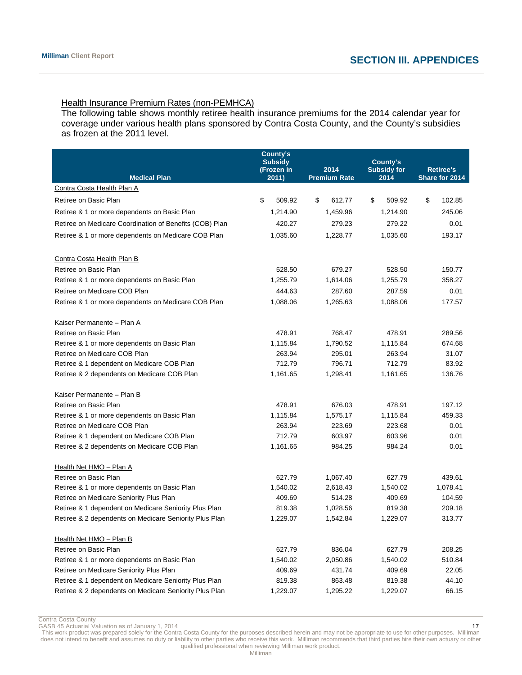# Health Insurance Premium Rates (non-PEMHCA)

The following table shows monthly retiree health insurance premiums for the 2014 calendar year for coverage under various health plans sponsored by Contra Costa County, and the County's subsidies as frozen at the 2011 level.

| <b>Medical Plan</b>                                     | County's<br><b>Subsidy</b><br>(Frozen in<br>2011) | 2014<br><b>Premium Rate</b> | County's<br><b>Subsidy for</b><br>2014 | <b>Retiree's</b><br>Share for 2014 |  |
|---------------------------------------------------------|---------------------------------------------------|-----------------------------|----------------------------------------|------------------------------------|--|
| Contra Costa Health Plan A                              |                                                   |                             |                                        |                                    |  |
| Retiree on Basic Plan                                   | \$<br>509.92                                      | \$<br>612.77                | \$<br>509.92                           | \$<br>102.85                       |  |
| Retiree & 1 or more dependents on Basic Plan            | 1,214.90                                          | 1,459.96                    | 1,214.90                               | 245.06                             |  |
| Retiree on Medicare Coordination of Benefits (COB) Plan | 420.27                                            | 279.23                      | 279.22                                 | 0.01                               |  |
| Retiree & 1 or more dependents on Medicare COB Plan     | 1,035.60                                          | 1,228.77                    | 1,035.60                               | 193.17                             |  |
| Contra Costa Health Plan B                              |                                                   |                             |                                        |                                    |  |
| Retiree on Basic Plan                                   | 528.50                                            | 679.27                      | 528.50                                 | 150.77                             |  |
| Retiree & 1 or more dependents on Basic Plan            | 1,255.79                                          | 1,614.06                    | 1,255.79                               | 358.27                             |  |
| Retiree on Medicare COB Plan                            | 444.63                                            | 287.60                      | 287.59                                 | 0.01                               |  |
| Retiree & 1 or more dependents on Medicare COB Plan     | 1,088.06                                          | 1,265.63                    | 1,088.06                               | 177.57                             |  |
| Kaiser Permanente - Plan A                              |                                                   |                             |                                        |                                    |  |
| Retiree on Basic Plan                                   | 478.91                                            | 768.47                      | 478.91                                 | 289.56                             |  |
| Retiree & 1 or more dependents on Basic Plan            | 1,115.84                                          | 1,790.52                    | 1,115.84                               | 674.68                             |  |
| Retiree on Medicare COB Plan                            | 263.94                                            | 295.01                      | 263.94                                 | 31.07                              |  |
| Retiree & 1 dependent on Medicare COB Plan              | 712.79                                            | 796.71                      | 712.79                                 | 83.92                              |  |
| Retiree & 2 dependents on Medicare COB Plan             | 1,161.65                                          | 1,298.41                    | 1,161.65                               | 136.76                             |  |
| Kaiser Permanente - Plan B                              |                                                   |                             |                                        |                                    |  |
| Retiree on Basic Plan                                   | 478.91                                            | 676.03                      | 478.91                                 | 197.12                             |  |
| Retiree & 1 or more dependents on Basic Plan            | 1,115.84                                          | 1,575.17                    | 1,115.84                               | 459.33                             |  |
| Retiree on Medicare COB Plan                            | 263.94                                            | 223.69                      | 223.68                                 | 0.01                               |  |
| Retiree & 1 dependent on Medicare COB Plan              | 712.79                                            | 603.97                      | 603.96                                 | 0.01                               |  |
| Retiree & 2 dependents on Medicare COB Plan             | 1,161.65                                          | 984.25                      | 984.24                                 | 0.01                               |  |
| Health Net HMO - Plan A                                 |                                                   |                             |                                        |                                    |  |
| Retiree on Basic Plan                                   | 627.79                                            | 1,067.40                    | 627.79                                 | 439.61                             |  |
| Retiree & 1 or more dependents on Basic Plan            | 1,540.02                                          | 2,618.43                    | 1,540.02                               | 1,078.41                           |  |
| Retiree on Medicare Seniority Plus Plan                 | 409.69                                            | 514.28                      | 409.69                                 | 104.59                             |  |
| Retiree & 1 dependent on Medicare Seniority Plus Plan   | 819.38                                            | 1,028.56                    | 819.38                                 | 209.18                             |  |
| Retiree & 2 dependents on Medicare Seniority Plus Plan  | 1,229.07                                          | 1,542.84                    | 1,229.07                               | 313.77                             |  |
| Health Net HMO - Plan B                                 |                                                   |                             |                                        |                                    |  |
| Retiree on Basic Plan                                   | 627.79                                            | 836.04                      | 627.79                                 | 208.25                             |  |
| Retiree & 1 or more dependents on Basic Plan            | 1,540.02                                          | 2,050.86                    | 1,540.02                               | 510.84                             |  |
| Retiree on Medicare Seniority Plus Plan                 | 409.69                                            | 431.74                      | 409.69                                 | 22.05                              |  |
| Retiree & 1 dependent on Medicare Seniority Plus Plan   | 819.38                                            | 863.48                      | 819.38                                 | 44.10                              |  |
| Retiree & 2 dependents on Medicare Seniority Plus Plan  | 1,229.07                                          | 1,295.22                    | 1,229.07                               | 66.15                              |  |

Contra Costa County

GASB 45 Actuarial Valuation as of January 1, 2014 17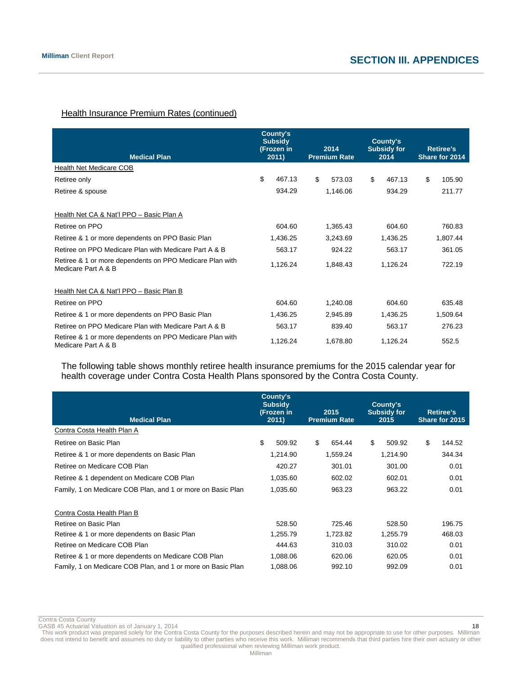# **Health Insurance Premium Rates (continued)**

| <b>Medical Plan</b>                                                             | County's<br><b>Subsidy</b><br>(Frozen in<br>2011) |          | 2014<br><b>Premium Rate</b> | County's<br><b>Subsidy for</b><br>2014 | <b>Retiree's</b><br>Share for 2014 |
|---------------------------------------------------------------------------------|---------------------------------------------------|----------|-----------------------------|----------------------------------------|------------------------------------|
| Health Net Medicare COB                                                         |                                                   |          |                             |                                        |                                    |
| Retiree only                                                                    | \$<br>467.13                                      | \$       | 573.03                      | \$<br>467.13                           | \$<br>105.90                       |
| Retiree & spouse                                                                | 934.29                                            |          | 1,146.06                    | 934.29                                 | 211.77                             |
| Health Net CA & Nat'l PPO - Basic Plan A                                        |                                                   |          |                             |                                        |                                    |
| Retiree on PPO                                                                  | 604.60                                            |          | 1,365.43                    | 604.60                                 | 760.83                             |
| Retiree & 1 or more dependents on PPO Basic Plan                                | 1,436.25                                          |          | 3,243.69                    | 1,436.25                               | 1,807.44                           |
| Retiree on PPO Medicare Plan with Medicare Part A & B                           | 563.17                                            |          | 924.22                      | 563.17                                 | 361.05                             |
| Retiree & 1 or more dependents on PPO Medicare Plan with<br>Medicare Part A & B | 1,126.24                                          | 1,848.43 |                             | 1,126.24                               | 722.19                             |
| Health Net CA & Nat'l PPO - Basic Plan B                                        |                                                   |          |                             |                                        |                                    |
| Retiree on PPO                                                                  | 604.60                                            |          | 1,240.08                    | 604.60                                 | 635.48                             |
| Retiree & 1 or more dependents on PPO Basic Plan                                | 1,436.25                                          |          | 2,945.89                    | 1,436.25                               | 1,509.64                           |
| Retiree on PPO Medicare Plan with Medicare Part A & B                           | 563.17                                            |          | 839.40                      | 563.17                                 | 276.23                             |
| Retiree & 1 or more dependents on PPO Medicare Plan with<br>Medicare Part A & B | 1,126.24                                          |          | 1,678.80                    | 1,126.24                               | 552.5                              |

The following table shows monthly retiree health insurance premiums for the 2015 calendar year for health coverage under Contra Costa Health Plans sponsored by the Contra Costa County.

| <b>Medical Plan</b>                                         | County's<br><b>Subsidy</b><br>(Frozen in<br>2011) | 2015<br><b>Premium Rate</b> | County's<br><b>Subsidy for</b><br>2015 | <b>Retiree's</b><br>Share for 2015 |  |
|-------------------------------------------------------------|---------------------------------------------------|-----------------------------|----------------------------------------|------------------------------------|--|
| Contra Costa Health Plan A                                  |                                                   |                             |                                        |                                    |  |
| Retiree on Basic Plan                                       | \$<br>509.92                                      | \$<br>654.44                | \$<br>509.92                           | \$<br>144.52                       |  |
| Retiree & 1 or more dependents on Basic Plan                | 1,214.90                                          | 1,559.24                    | 1,214.90                               | 344.34                             |  |
| Retiree on Medicare COB Plan                                | 420.27                                            | 301.01                      | 301.00                                 | 0.01                               |  |
| Retiree & 1 dependent on Medicare COB Plan                  | 1,035.60                                          | 602.02                      | 602.01                                 | 0.01                               |  |
| Family, 1 on Medicare COB Plan, and 1 or more on Basic Plan | 1,035.60                                          | 963.23                      | 963.22                                 | 0.01                               |  |
| Contra Costa Health Plan B                                  |                                                   |                             |                                        |                                    |  |
| Retiree on Basic Plan                                       | 528.50                                            | 725.46                      | 528.50                                 | 196.75                             |  |
| Retiree & 1 or more dependents on Basic Plan                | 1,255.79                                          | 1,723.82                    | 1,255.79                               | 468.03                             |  |
| Retiree on Medicare COB Plan                                | 444.63                                            | 310.03                      | 310.02                                 | 0.01                               |  |
| Retiree & 1 or more dependents on Medicare COB Plan         | 1,088.06                                          | 620.06                      | 620.05                                 | 0.01                               |  |
| Family, 1 on Medicare COB Plan, and 1 or more on Basic Plan | 1.088.06                                          | 992.10                      | 992.09                                 | 0.01                               |  |

Contra Costa County

GASB 45 Actuarial Valuation as of January 1, 2014 18 and 2014 18 and 2015 18 and 2018 18 and 2018 18 and 2018 18 and 2018 18 and 2018 18 and 2018 18 and 2018 18 and 2018 18 and 2018 18 and 2018 18 and 2018 18 and 2018 18 a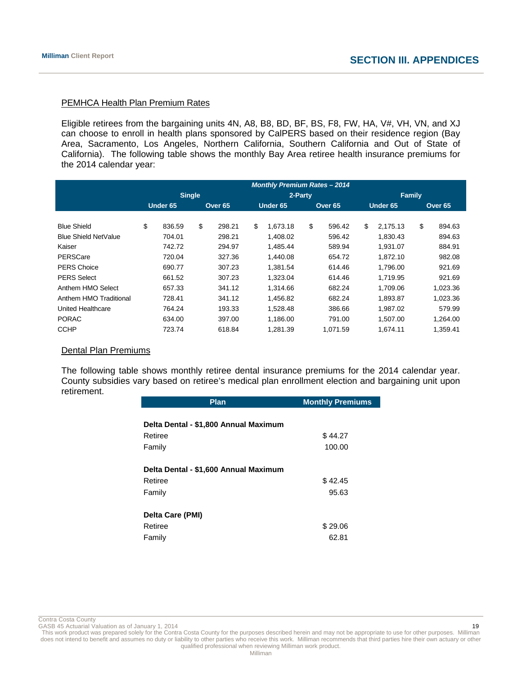# PEMHCA Health Plan Premium Rates

Eligible retirees from the bargaining units 4N, A8, B8, BD, BF, BS, F8, FW, HA, V#, VH, VN, and XJ can choose to enroll in health plans sponsored by CalPERS based on their residence region (Bay Area, Sacramento, Los Angeles, Northern California, Southern California and Out of State of California). The following table shows the monthly Bay Area retiree health insurance premiums for the 2014 calendar year:

|                        | <b>Monthly Premium Rates - 2014</b> |          |    |                    |    |          |    |                    |    |               |    |                    |
|------------------------|-------------------------------------|----------|----|--------------------|----|----------|----|--------------------|----|---------------|----|--------------------|
|                        | <b>Single</b>                       |          |    |                    |    | 2-Party  |    |                    |    | <b>Family</b> |    |                    |
|                        |                                     | Under 65 |    | Over <sub>65</sub> |    | Under 65 |    | Over <sub>65</sub> |    | Under 65      |    | Over <sub>65</sub> |
|                        |                                     |          |    |                    |    |          |    |                    |    |               |    |                    |
| <b>Blue Shield</b>     | \$                                  | 836.59   | \$ | 298.21             | \$ | 1.673.18 | \$ | 596.42             | \$ | 2.175.13      | \$ | 894.63             |
| Blue Shield NetValue   |                                     | 704.01   |    | 298.21             |    | 1.408.02 |    | 596.42             |    | 1.830.43      |    | 894.63             |
| Kaiser                 |                                     | 742.72   |    | 294.97             |    | 1.485.44 |    | 589.94             |    | 1,931.07      |    | 884.91             |
| PERSCare               |                                     | 720.04   |    | 327.36             |    | 1,440.08 |    | 654.72             |    | 1,872.10      |    | 982.08             |
| <b>PERS Choice</b>     |                                     | 690.77   |    | 307.23             |    | 1.381.54 |    | 614.46             |    | 1,796.00      |    | 921.69             |
| <b>PERS Select</b>     |                                     | 661.52   |    | 307.23             |    | 1.323.04 |    | 614.46             |    | 1.719.95      |    | 921.69             |
| Anthem HMO Select      |                                     | 657.33   |    | 341.12             |    | 1.314.66 |    | 682.24             |    | 1.709.06      |    | 1,023.36           |
| Anthem HMO Traditional |                                     | 728.41   |    | 341.12             |    | 1.456.82 |    | 682.24             |    | 1.893.87      |    | 1.023.36           |
| United Healthcare      |                                     | 764.24   |    | 193.33             |    | 1,528.48 |    | 386.66             |    | 1,987.02      |    | 579.99             |
| <b>PORAC</b>           |                                     | 634.00   |    | 397.00             |    | 1.186.00 |    | 791.00             |    | 1.507.00      |    | 1.264.00           |
| <b>CCHP</b>            |                                     | 723.74   |    | 618.84             |    | 1,281.39 |    | 1,071.59           |    | 1,674.11      |    | 1,359.41           |

#### Dental Plan Premiums

The following table shows monthly retiree dental insurance premiums for the 2014 calendar year. County subsidies vary based on retiree's medical plan enrollment election and bargaining unit upon retirement.

| Plan                                  | <b>Monthly Premiums</b> |
|---------------------------------------|-------------------------|
|                                       |                         |
| Delta Dental - \$1,800 Annual Maximum |                         |
| Retiree                               | \$44.27                 |
| Family                                | 100.00                  |
| Delta Dental - \$1,600 Annual Maximum |                         |
| Retiree                               | \$42.45                 |
| Family                                | 95.63                   |
| Delta Care (PMI)                      |                         |
| Retiree                               | \$29.06                 |
| Family                                | 62.81                   |

Contra Costa County<br>GASB 45 Actuarial Valuation as of January 1, 2014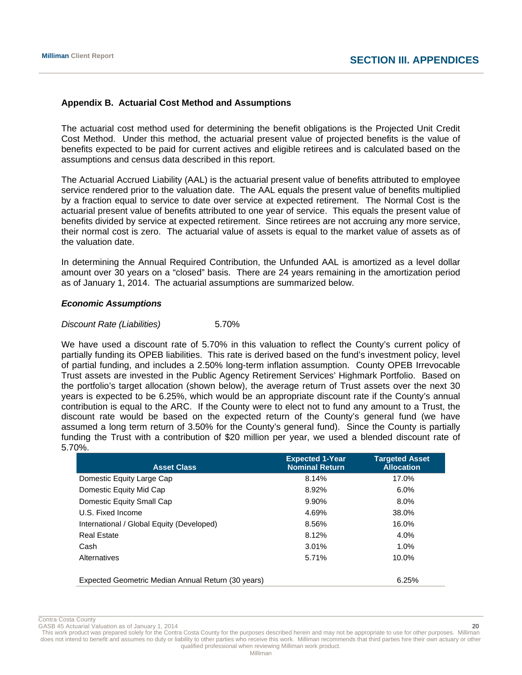# **Appendix B. Actuarial Cost Method and Assumptions**

The actuarial cost method used for determining the benefit obligations is the Projected Unit Credit Cost Method. Under this method, the actuarial present value of projected benefits is the value of benefits expected to be paid for current actives and eligible retirees and is calculated based on the assumptions and census data described in this report.

The Actuarial Accrued Liability (AAL) is the actuarial present value of benefits attributed to employee service rendered prior to the valuation date. The AAL equals the present value of benefits multiplied by a fraction equal to service to date over service at expected retirement. The Normal Cost is the actuarial present value of benefits attributed to one year of service. This equals the present value of benefits divided by service at expected retirement. Since retirees are not accruing any more service, their normal cost is zero. The actuarial value of assets is equal to the market value of assets as of the valuation date.

In determining the Annual Required Contribution, the Unfunded AAL is amortized as a level dollar amount over 30 years on a "closed" basis. There are 24 years remaining in the amortization period as of January 1, 2014. The actuarial assumptions are summarized below.

# *Economic Assumptions*

# *Discount Rate (Liabilities)* 5.70%

We have used a discount rate of 5.70% in this valuation to reflect the County's current policy of partially funding its OPEB liabilities. This rate is derived based on the fund's investment policy, level of partial funding, and includes a 2.50% long-term inflation assumption. County OPEB Irrevocable Trust assets are invested in the Public Agency Retirement Services' Highmark Portfolio. Based on the portfolio's target allocation (shown below), the average return of Trust assets over the next 30 years is expected to be 6.25%, which would be an appropriate discount rate if the County's annual contribution is equal to the ARC. If the County were to elect not to fund any amount to a Trust, the discount rate would be based on the expected return of the County's general fund (we have assumed a long term return of 3.50% for the County's general fund). Since the County is partially funding the Trust with a contribution of \$20 million per year, we used a blended discount rate of 5.70%.

| <b>Asset Class</b>                                 | <b>Expected 1-Year</b><br><b>Nominal Return</b> | <b>Targeted Asset</b><br><b>Allocation</b> |
|----------------------------------------------------|-------------------------------------------------|--------------------------------------------|
| Domestic Equity Large Cap                          | 8.14%                                           | 17.0%                                      |
| Domestic Equity Mid Cap                            | 8.92%                                           | $6.0\%$                                    |
| Domestic Equity Small Cap                          | 9.90%                                           | $8.0\%$                                    |
| U.S. Fixed Income                                  | 4.69%                                           | 38.0%                                      |
| International / Global Equity (Developed)          | 8.56%                                           | 16.0%                                      |
| <b>Real Estate</b>                                 | 8.12%                                           | 4.0%                                       |
| Cash                                               | 3.01%                                           | 1.0%                                       |
| Alternatives                                       | 5.71%                                           | $10.0\%$                                   |
| Expected Geometric Median Annual Return (30 years) |                                                 | 6.25%                                      |

Contra Costa County

GASB 45 Actuarial Valuation as of January 1, 2014  $\sim$  2008.  $\sim$  2008.  $\sim$  2008.  $\sim$  2008.  $\sim$  2008.  $\sim$  2008.  $\sim$  2008.  $\sim$  2008.  $\sim$  2008.  $\sim$  2008.  $\sim$  2008.  $\sim$  2008.  $\sim$  2008.  $\sim$  2008.  $\sim$  2008.  $\sim$  2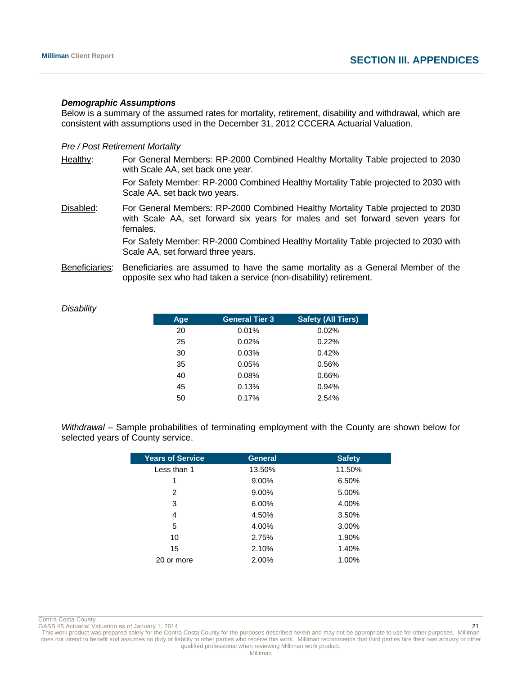#### *Demographic Assumptions*

Below is a summary of the assumed rates for mortality, retirement, disability and withdrawal, which are consistent with assumptions used in the December 31, 2012 CCCERA Actuarial Valuation.

#### *Pre / Post Retirement Mortality*

- Healthy: For General Members: RP-2000 Combined Healthy Mortality Table projected to 2030 with Scale AA, set back one year. For Safety Member: RP-2000 Combined Healthy Mortality Table projected to 2030 with Scale AA, set back two years.
- Disabled: For General Members: RP-2000 Combined Healthy Mortality Table projected to 2030 with Scale AA, set forward six years for males and set forward seven years for females.

 For Safety Member: RP-2000 Combined Healthy Mortality Table projected to 2030 with Scale AA, set forward three years.

Beneficiaries: Beneficiaries are assumed to have the same mortality as a General Member of the opposite sex who had taken a service (non-disability) retirement.

| Age | <b>General Tier 3</b> | <b>Safety (All Tiers)</b> |
|-----|-----------------------|---------------------------|
| 20  | 0.01%                 | 0.02%                     |
| 25  | $0.02\%$              | 0.22%                     |
| 30  | 0.03%                 | 0.42%                     |
| 35  | 0.05%                 | 0.56%                     |
| 40  | 0.08%                 | 0.66%                     |
| 45  | 0.13%                 | 0.94%                     |
| 50  | 0.17%                 | 2.54%                     |

*Disability* 

*Withdrawal* – Sample probabilities of terminating employment with the County are shown below for selected years of County service.

| <b>General</b> | <b>Safety</b> |
|----------------|---------------|
| 13.50%         | 11.50%        |
| 9.00%          | 6.50%         |
| 9.00%          | 5.00%         |
| 6.00%          | 4.00%         |
| 4.50%          | 3.50%         |
| 4.00%          | 3.00%         |
| 2.75%          | 1.90%         |
| 2.10%          | 1.40%         |
| 2.00%          | 1.00%         |
|                |               |

Contra Costa County<br>GASB 45 Actuarial Valuation as of January 1, 2014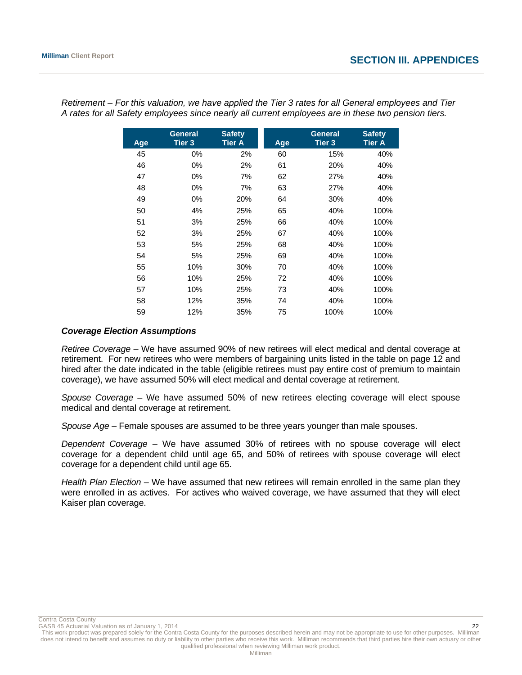| Age | <b>General</b><br><b>Tier 3</b> | <b>Safety</b><br><b>Tier A</b> | Age | <b>General</b><br><b>Tier 3</b> | <b>Safety</b><br><b>Tier A</b> |
|-----|---------------------------------|--------------------------------|-----|---------------------------------|--------------------------------|
| 45  | 0%                              | 2%                             | 60  | 15%                             | 40%                            |
| 46  | 0%                              | 2%                             | 61  | 20%                             | 40%                            |
| 47  | 0%                              | 7%                             | 62  | 27%                             | 40%                            |
| 48  | 0%                              | 7%                             | 63  | 27%                             | 40%                            |
| 49  | 0%                              | 20%                            | 64  | 30%                             | 40%                            |
| 50  | 4%                              | 25%                            | 65  | 40%                             | 100%                           |
| 51  | 3%                              | 25%                            | 66  | 40%                             | 100%                           |
| 52  | 3%                              | 25%                            | 67  | 40%                             | 100%                           |
| 53  | 5%                              | 25%                            | 68  | 40%                             | 100%                           |
| 54  | 5%                              | 25%                            | 69  | 40%                             | 100%                           |
| 55  | 10%                             | 30%                            | 70  | 40%                             | 100%                           |
| 56  | 10%                             | 25%                            | 72  | 40%                             | 100%                           |
| 57  | 10%                             | 25%                            | 73  | 40%                             | 100%                           |
| 58  | 12%                             | 35%                            | 74  | 40%                             | 100%                           |
| 59  | 12%                             | 35%                            | 75  | 100%                            | 100%                           |

*Retirement – For this valuation, we have applied the Tier 3 rates for all General employees and Tier A rates for all Safety employees since nearly all current employees are in these two pension tiers.* 

# *Coverage Election Assumptions*

*Retiree Coverage –* We have assumed 90% of new retirees will elect medical and dental coverage at retirement. For new retirees who were members of bargaining units listed in the table on page 12 and hired after the date indicated in the table (eligible retirees must pay entire cost of premium to maintain coverage), we have assumed 50% will elect medical and dental coverage at retirement.

*Spouse Coverage* – We have assumed 50% of new retirees electing coverage will elect spouse medical and dental coverage at retirement.

*Spouse Age* – Female spouses are assumed to be three years younger than male spouses.

*Dependent Coverage –* We have assumed 30% of retirees with no spouse coverage will elect coverage for a dependent child until age 65, and 50% of retirees with spouse coverage will elect coverage for a dependent child until age 65.

*Health Plan Election* – We have assumed that new retirees will remain enrolled in the same plan they were enrolled in as actives. For actives who waived coverage, we have assumed that they will elect Kaiser plan coverage.

Contra Costa County

GASB 45 Actuarial Valuation as of January 1, 2014 22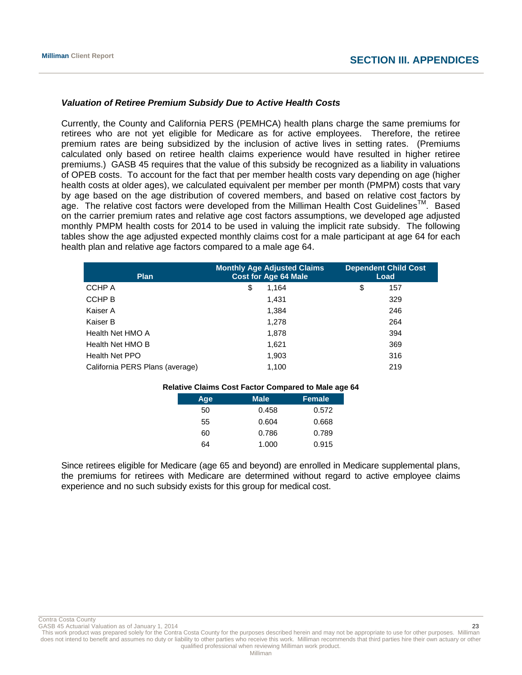# *Valuation of Retiree Premium Subsidy Due to Active Health Costs*

Currently, the County and California PERS (PEMHCA) health plans charge the same premiums for retirees who are not yet eligible for Medicare as for active employees. Therefore, the retiree premium rates are being subsidized by the inclusion of active lives in setting rates. (Premiums calculated only based on retiree health claims experience would have resulted in higher retiree premiums.) GASB 45 requires that the value of this subsidy be recognized as a liability in valuations of OPEB costs. To account for the fact that per member health costs vary depending on age (higher health costs at older ages), we calculated equivalent per member per month (PMPM) costs that vary by age based on the age distribution of covered members, and based on relative cost factors by age. The relative cost factors were developed from the Milliman Health Cost Guidelines<sup>TM</sup>. Based on the carrier premium rates and relative age cost factors assumptions, we developed age adjusted monthly PMPM health costs for 2014 to be used in valuing the implicit rate subsidy. The following tables show the age adjusted expected monthly claims cost for a male participant at age 64 for each health plan and relative age factors compared to a male age 64.

| <b>Plan</b>                     | <b>Monthly Age Adjusted Claims</b><br><b>Cost for Age 64 Male</b> | <b>Dependent Child Cost</b><br>Load |  |
|---------------------------------|-------------------------------------------------------------------|-------------------------------------|--|
| CCHP A                          | \$<br>1,164                                                       | \$<br>157                           |  |
| CCHP B                          | 1.431                                                             | 329                                 |  |
| Kaiser A                        | 1.384                                                             | 246                                 |  |
| Kaiser B                        | 1.278                                                             | 264                                 |  |
| Health Net HMO A                | 1,878                                                             | 394                                 |  |
| Health Net HMO B                | 1,621                                                             | 369                                 |  |
| Health Net PPO                  | 1,903                                                             | 316                                 |  |
| California PERS Plans (average) | 1,100                                                             | 219                                 |  |

| <b>Relative Claims Cost Factor Compared to Male age 64</b> |     |             |        |  |
|------------------------------------------------------------|-----|-------------|--------|--|
|                                                            | Age | <b>Male</b> | Female |  |
|                                                            | 50  | 0.458       | 0.572  |  |
|                                                            | 55  | 0.604       | 0.668  |  |
|                                                            | 60  | 0.786       | 0.789  |  |
|                                                            | 64  | 1.000       | 0.915  |  |

Since retirees eligible for Medicare (age 65 and beyond) are enrolled in Medicare supplemental plans, the premiums for retirees with Medicare are determined without regard to active employee claims experience and no such subsidy exists for this group for medical cost.

GASB 45 Actuarial Valuation as of January 1, 2014  $\overline{a}$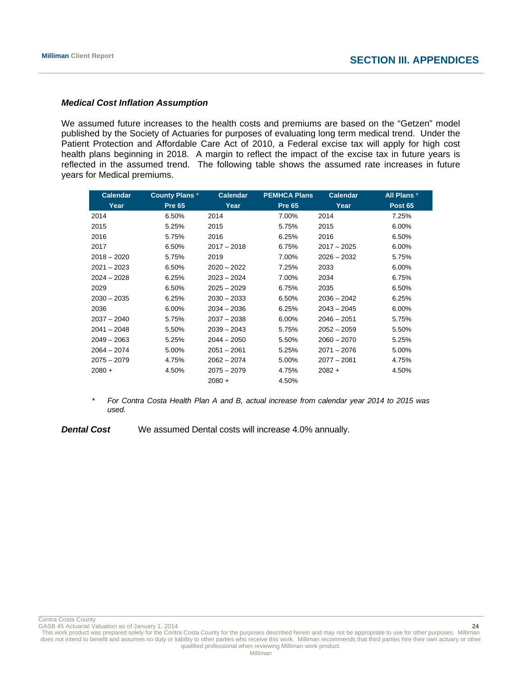# *Medical Cost Inflation Assumption*

We assumed future increases to the health costs and premiums are based on the "Getzen" model published by the Society of Actuaries for purposes of evaluating long term medical trend. Under the Patient Protection and Affordable Care Act of 2010, a Federal excise tax will apply for high cost health plans beginning in 2018. A margin to reflect the impact of the excise tax in future years is reflected in the assumed trend. The following table shows the assumed rate increases in future years for Medical premiums.

| <b>Calendar</b> | <b>County Plans*</b> | <b>Calendar</b> | <b>PEMHCA Plans</b> | <b>Calendar</b> | All Plans*     |
|-----------------|----------------------|-----------------|---------------------|-----------------|----------------|
| Year            | <b>Pre 65</b>        | Year            | <b>Pre 65</b>       | Year            | <b>Post 65</b> |
| 2014            | 6.50%                | 2014            | 7.00%               | 2014            | 7.25%          |
| 2015            | 5.25%                | 2015            | 5.75%               | 2015            | 6.00%          |
| 2016            | 5.75%                | 2016            | 6.25%               | 2016            | 6.50%          |
| 2017            | 6.50%                | $2017 - 2018$   | 6.75%               | $2017 - 2025$   | 6.00%          |
| $2018 - 2020$   | 5.75%                | 2019            | 7.00%               | $2026 - 2032$   | 5.75%          |
| $2021 - 2023$   | 6.50%                | $2020 - 2022$   | 7.25%               | 2033            | 6.00%          |
| $2024 - 2028$   | 6.25%                | $2023 - 2024$   | 7.00%               | 2034            | 6.75%          |
| 2029            | 6.50%                | $2025 - 2029$   | 6.75%               | 2035            | 6.50%          |
| $2030 - 2035$   | 6.25%                | $2030 - 2033$   | 6.50%               | $2036 - 2042$   | 6.25%          |
| 2036            | 6.00%                | $2034 - 2036$   | 6.25%               | $2043 - 2045$   | 6.00%          |
| $2037 - 2040$   | 5.75%                | $2037 - 2038$   | 6.00%               | $2046 - 2051$   | 5.75%          |
| $2041 - 2048$   | 5.50%                | $2039 - 2043$   | 5.75%               | $2052 - 2059$   | 5.50%          |
| $2049 - 2063$   | 5.25%                | $2044 - 2050$   | 5.50%               | $2060 - 2070$   | 5.25%          |
| $2064 - 2074$   | 5.00%                | $2051 - 2061$   | 5.25%               | $2071 - 2076$   | 5.00%          |
| $2075 - 2079$   | 4.75%                | $2062 - 2074$   | 5.00%               | $2077 - 2081$   | 4.75%          |
| $2080 +$        | 4.50%                | $2075 - 2079$   | 4.75%               | $2082 +$        | 4.50%          |
|                 |                      | $2080 +$        | 4.50%               |                 |                |

\* *For Contra Costa Health Plan A and B, actual increase from calendar year 2014 to 2015 was used.* 

**Dental Cost** We assumed Dental costs will increase 4.0% annually.

Contra Costa County<br>GASB 45 Actuarial Valuation as of January 1, 2014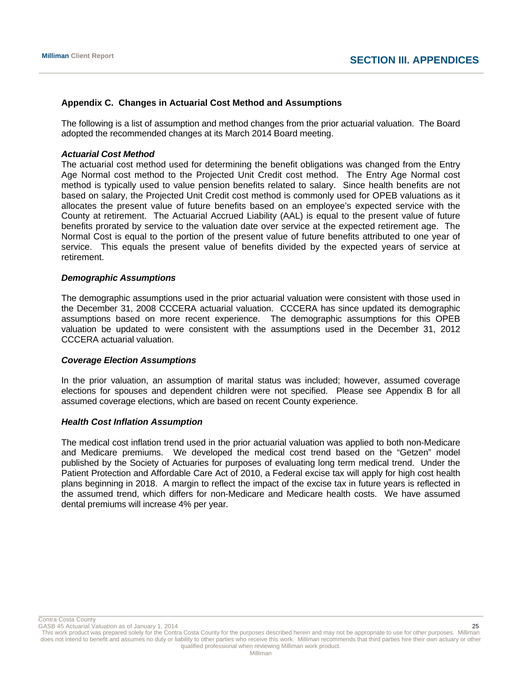# **Appendix C. Changes in Actuarial Cost Method and Assumptions**

The following is a list of assumption and method changes from the prior actuarial valuation. The Board adopted the recommended changes at its March 2014 Board meeting.

# *Actuarial Cost Method*

The actuarial cost method used for determining the benefit obligations was changed from the Entry Age Normal cost method to the Projected Unit Credit cost method. The Entry Age Normal cost method is typically used to value pension benefits related to salary. Since health benefits are not based on salary, the Projected Unit Credit cost method is commonly used for OPEB valuations as it allocates the present value of future benefits based on an employee's expected service with the County at retirement. The Actuarial Accrued Liability (AAL) is equal to the present value of future benefits prorated by service to the valuation date over service at the expected retirement age. The Normal Cost is equal to the portion of the present value of future benefits attributed to one year of service. This equals the present value of benefits divided by the expected years of service at retirement.

# *Demographic Assumptions*

The demographic assumptions used in the prior actuarial valuation were consistent with those used in the December 31, 2008 CCCERA actuarial valuation. CCCERA has since updated its demographic assumptions based on more recent experience. The demographic assumptions for this OPEB valuation be updated to were consistent with the assumptions used in the December 31, 2012 CCCERA actuarial valuation.

# *Coverage Election Assumptions*

In the prior valuation, an assumption of marital status was included; however, assumed coverage elections for spouses and dependent children were not specified. Please see Appendix B for all assumed coverage elections, which are based on recent County experience.

# *Health Cost Inflation Assumption*

The medical cost inflation trend used in the prior actuarial valuation was applied to both non-Medicare and Medicare premiums. We developed the medical cost trend based on the "Getzen" model published by the Society of Actuaries for purposes of evaluating long term medical trend. Under the Patient Protection and Affordable Care Act of 2010, a Federal excise tax will apply for high cost health plans beginning in 2018. A margin to reflect the impact of the excise tax in future years is reflected in the assumed trend, which differs for non-Medicare and Medicare health costs. We have assumed dental premiums will increase 4% per year.

Contra Costa County

GASB 45 Actuarial Valuation as of January 1, 2014  $\sim$  25